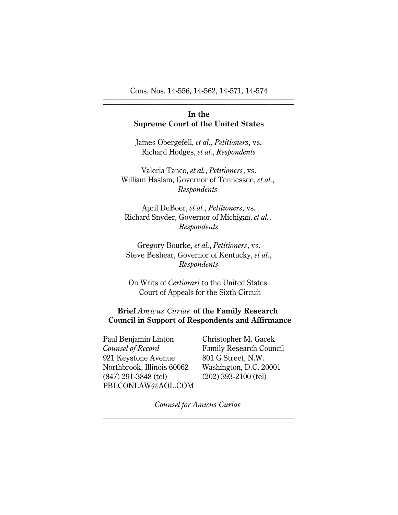Cons. Nos. 14-556, 14-562, 14-571, 14-574 \_\_\_\_\_\_\_\_\_\_\_\_\_\_\_\_\_\_\_\_\_\_\_\_\_\_\_\_\_\_\_\_\_\_\_\_\_\_\_\_\_\_\_\_\_\_\_\_\_

# **In the Supreme Court of the United States**

James Obergefell, *et al.*, *Petitioners*, vs. Richard Hodges, *et al.*, *Respondents*

Valeria Tanco, *et al.*, *Petitioners*, vs. William Haslam, Governor of Tennessee, *et al.*, *Respondents*

April DeBoer, *et al.*, *Petitioners*, vs. Richard Snyder, Governor of Michigan, *et al.*, *Respondents*

Gregory Bourke, *et al.*, *Petitioners*, vs. Steve Beshear, Governor of Kentucky, *et al.*, *Respondents*

On Writs of *Certiorari* to the United States Court of Appeals for the Sixth Circuit

# **Brief** *Amicus Curiae* **of the Family Research Council in Support of Respondents and Affirmance**

Paul Benjamin Linton Christopher M. Gacek *Counsel of Record* Family Research Council 921 Keystone Avenue 801 G Street, N.W. Northbrook, Illinois 60062 Washington, D.C. 20001 (847) 291-3848 (tel) (202) 393-2100 (tel) PBLCONLAW@AOL.COM

*Counsel for Amicus Curiae \_\_\_\_\_\_\_\_\_\_\_\_\_\_\_\_\_\_*\_\_\_\_\_\_\_\_\_\_\_\_\_\_\_\_\_\_\_\_\_\_\_\_\_\_\_\_\_\_\_

\_\_\_\_\_\_\_\_\_\_\_\_\_\_\_\_\_\_\_\_\_\_\_\_\_\_\_\_\_\_\_\_\_\_\_\_\_\_\_\_\_\_\_\_\_\_\_\_\_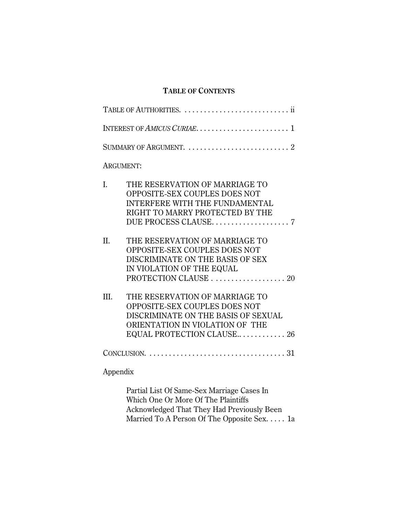# **TABLE OF CONTENTS**

|          | SUMMARY OF ARGUMENT.  2                                                                                                                                                 |
|----------|-------------------------------------------------------------------------------------------------------------------------------------------------------------------------|
|          | <b>ARGUMENT:</b>                                                                                                                                                        |
| I.       | THE RESERVATION OF MARRIAGE TO<br>OPPOSITE-SEX COUPLES DOES NOT<br>INTERFERE WITH THE FUNDAMENTAL<br>RIGHT TO MARRY PROTECTED BY THE                                    |
| II.      | THE RESERVATION OF MARRIAGE TO<br>OPPOSITE-SEX COUPLES DOES NOT<br>DISCRIMINATE ON THE BASIS OF SEX<br>IN VIOLATION OF THE EQUAL<br>PROTECTION CLAUSE 20                |
| III.     | THE RESERVATION OF MARRIAGE TO<br>OPPOSITE-SEX COUPLES DOES NOT<br>DISCRIMINATE ON THE BASIS OF SEXUAL<br>ORIENTATION IN VIOLATION OF THE<br>EQUAL PROTECTION CLAUSE 26 |
|          |                                                                                                                                                                         |
| Appendix |                                                                                                                                                                         |
|          | Partial List Of Same-Sex Marriage Cases In<br>Which One Or More Of The Plaintiffs<br><b>Acknowledged That They Had Previously Been</b>                                  |

Married To A Person Of The Opposite Sex. . . . . 1a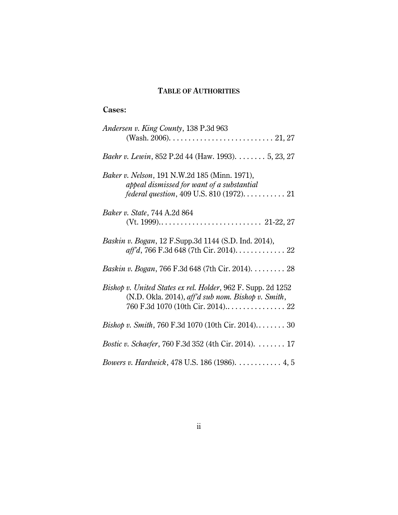# **TABLE OF AUTHORITIES**

# **Cases:**

| Andersen v. King County, 138 P.3d 963                                                                              |
|--------------------------------------------------------------------------------------------------------------------|
| Baehr v. Lewin, 852 P.2d 44 (Haw. 1993). 5, 23, 27                                                                 |
| Baker v. Nelson, 191 N.W.2d 185 (Minn. 1971),<br>appeal dismissed for want of a substantial                        |
| <i>Baker v. State, 744 A.2d 864</i>                                                                                |
| Baskin v. Bogan, 12 F.Supp.3d 1144 (S.D. Ind. 2014),                                                               |
| Baskin v. Bogan, 766 F.3d 648 (7th Cir. 2014). 28                                                                  |
| Bishop v. United States ex rel. Holder, 962 F. Supp. 2d 1252<br>(N.D. Okla. 2014), aff'd sub nom. Bishop v. Smith, |
| <i>Bishop v. Smith, 760 F.3d 1070 (10th Cir. 2014)</i> 30                                                          |
| <i>Bostic v. Schaefer</i> , 760 F.3d 352 (4th Cir. 2014). 17                                                       |
| <i>Bowers v. Hardwick</i> , 478 U.S. 186 (1986). 4, 5                                                              |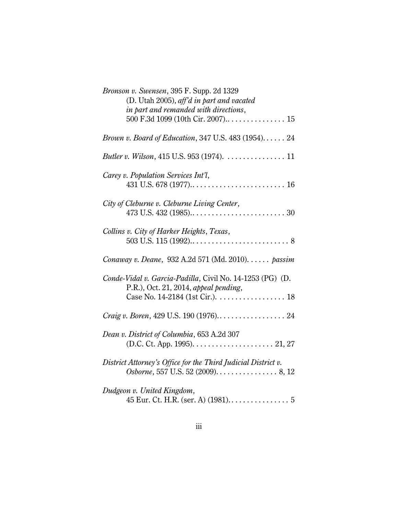| Bronson v. Swensen, 395 F. Supp. 2d 1329<br>(D. Utah 2005), aff'd in part and vacated<br>in part and remanded with directions,<br>500 F.3d 1099 (10th Cir. 2007) 15 |
|---------------------------------------------------------------------------------------------------------------------------------------------------------------------|
| Brown v. Board of Education, 347 U.S. 483 (1954) 24                                                                                                                 |
| Butler v. Wilson, 415 U.S. 953 (1974). 11                                                                                                                           |
| Carey v. Population Services Int'l,                                                                                                                                 |
| City of Cleburne v. Cleburne Living Center,                                                                                                                         |
| Collins v. City of Harker Heights, Texas,                                                                                                                           |
| Conaway v. Deane, 932 A.2d 571 (Md. 2010). passim                                                                                                                   |
| Conde-Vidal v. Garcia-Padilla, Civil No. 14-1253 (PG) (D.<br>$P.R.,$ Oct. 21, 2014, appeal pending,                                                                 |
|                                                                                                                                                                     |
| Craig v. Boren, 429 U.S. 190 (1976) 24                                                                                                                              |
| Dean v. District of Columbia, 653 A.2d 307<br>(D.C. Ct. App. 1995). $\dots$ . 21, 27                                                                                |
| District Attorney's Office for the Third Judicial District v.<br>Osborne, 557 U.S. 52 (2009). 8, 12                                                                 |
| Dudgeon v. United Kingdom,                                                                                                                                          |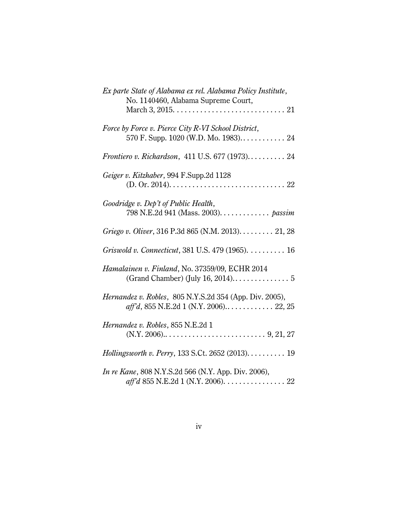| Ex parte State of Alabama ex rel. Alabama Policy Institute,<br>No. 1140460, Alabama Supreme Court, |
|----------------------------------------------------------------------------------------------------|
| Force by Force v. Pierce City R-VI School District,<br>570 F. Supp. 1020 (W.D. Mo. 1983) 24        |
| <i>Frontiero v. Richardson, 411 U.S. 677 (1973).</i> 24                                            |
| Geiger v. Kitzhaber, 994 F.Supp.2d 1128                                                            |
| Goodridge v. Dep't of Public Health,<br>798 N.E.2d 941 (Mass. 2003). passim                        |
| Griego v. Oliver, 316 P.3d 865 (N.M. 2013). 21, 28                                                 |
| Griswold v. Connecticut, 381 U.S. 479 (1965). 16                                                   |
| Hamalainen v. Finland, No. 37359/09, ECHR 2014                                                     |
| Hernandez v. Robles, 805 N.Y.S.2d 354 (App. Div. 2005),                                            |
| Hernandez v. Robles, 855 N.E.2d 1                                                                  |
| Hollingsworth v. Perry, 133 S.Ct. 2652 (2013). 19                                                  |
| <i>In re Kane</i> , 808 N.Y.S.2d 566 (N.Y. App. Div. 2006),<br>aff'd 855 N.E.2d 1 (N.Y. 2006). 22  |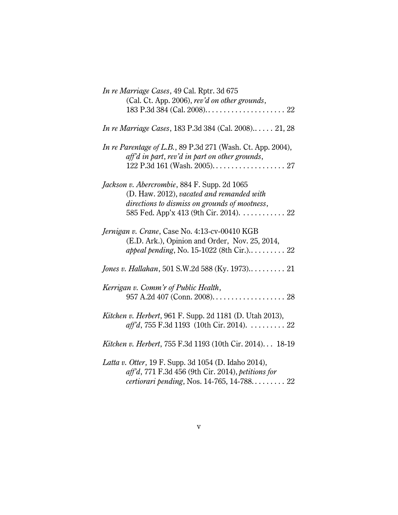| In re Marriage Cases, 49 Cal. Rptr. 3d 675<br>(Cal. Ct. App. 2006), rev'd on other grounds,                                                                                          |
|--------------------------------------------------------------------------------------------------------------------------------------------------------------------------------------|
| <i>In re Marriage Cases</i> , 183 P.3d 384 (Cal. 2008) 21, 28                                                                                                                        |
| <i>In re Parentage of L.B.</i> , 89 P.3d 271 (Wash. Ct. App. 2004),<br>aff'd in part, rev'd in part on other grounds,                                                                |
| Jackson v. Abercrombie, 884 F. Supp. 2d 1065<br>(D. Haw. 2012), vacated and remanded with<br>directions to dismiss on grounds of mootness,<br>585 Fed. App'x 413 (9th Cir. 2014). 22 |
| Jernigan v. Crane, Case No. 4:13-cv-00410 KGB<br>(E.D. Ark.), Opinion and Order, Nov. 25, 2014,<br>appeal pending, No. 15-1022 (8th Cir.) 22                                         |
| Jones v. Hallahan, 501 S.W.2d 588 (Ky. 1973) 21                                                                                                                                      |
| Kerrigan v. Comm'r of Public Health,                                                                                                                                                 |
| <i>Kitchen v. Herbert</i> , 961 F. Supp. 2d 1181 (D. Utah 2013),<br>aff'd, 755 F.3d 1193 (10th Cir. 2014). 22                                                                        |
| Kitchen v. Herbert, 755 F.3d 1193 (10th Cir. 2014) 18-19                                                                                                                             |
| Latta v. Otter, 19 F. Supp. 3d 1054 (D. Idaho 2014),<br>$affd$ , 771 F.3d 456 (9th Cir. 2014), petitions for<br>certiorari pending, Nos. 14-765, 14-788 $\dots$ 22                   |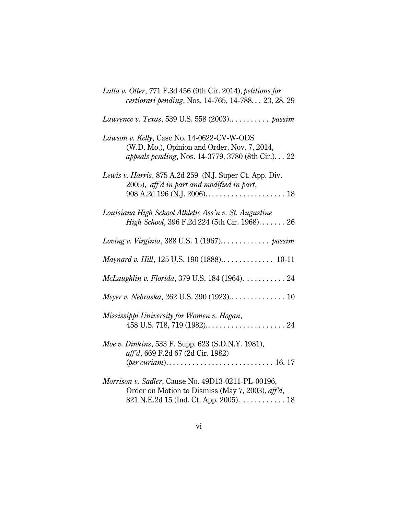| Latta v. Otter, 771 F.3d 456 (9th Cir. 2014), petitions for<br>certiorari pending, Nos. 14-765, 14-788 23, 28, 29                                |
|--------------------------------------------------------------------------------------------------------------------------------------------------|
| Lawrence v. Texas, 539 U.S. 558 (2003) passim                                                                                                    |
| Lawson v. Kelly, Case No. 14-0622-CV-W-ODS<br>(W.D. Mo.), Opinion and Order, Nov. 7, 2014,<br>appeals pending, Nos. 14-3779, 3780 (8th Cir.). 22 |
| Lewis v. Harris, 875 A.2d 259 (N.J. Super Ct. App. Div.<br>2005), aff'd in part and modified in part,                                            |
| Louisiana High School Athletic Ass'n v. St. Augustine<br>High School, 396 F.2d 224 (5th Cir. 1968) 26                                            |
| Loving v. Virginia, 388 U.S. $1(1967)$ passim                                                                                                    |
| Maynard v. Hill, 125 U.S. 190 (1888) 10-11                                                                                                       |
| McLaughlin v. Florida, 379 U.S. 184 (1964).  24                                                                                                  |
|                                                                                                                                                  |
| Mississippi University for Women v. Hogan,                                                                                                       |
| Moe v. Dinkins, 533 F. Supp. 623 (S.D.N.Y. 1981),<br>aff'd, 669 F.2d 67 (2d Cir. 1982)                                                           |
| Morrison v. Sadler, Cause No. 49D13-0211-PL-00196,<br>Order on Motion to Dismiss (May 7, 2003), aff'd,<br>821 N.E.2d 15 (Ind. Ct. App. 2005). 18 |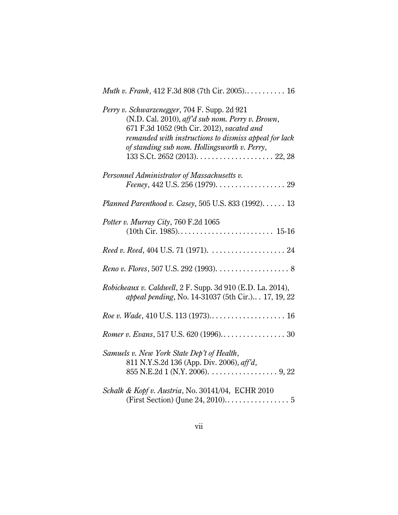| Muth v. Frank, 412 F.3d 808 (7th Cir. 2005) 16 |  |  |  |  |  |
|------------------------------------------------|--|--|--|--|--|
|------------------------------------------------|--|--|--|--|--|

| Perry v. Schwarzenegger, 704 F. Supp. 2d 921<br>(N.D. Cal. 2010), aff'd sub nom. Perry v. Brown,<br>671 F.3d 1052 (9th Cir. 2012), vacated and<br>remanded with instructions to dismiss appeal for lack<br>of standing sub nom. Hollingsworth v. Perry, |
|---------------------------------------------------------------------------------------------------------------------------------------------------------------------------------------------------------------------------------------------------------|
| Personnel Administrator of Massachusetts v.<br>Feeney, 442 U.S. 256 (1979). 29                                                                                                                                                                          |
| Planned Parenthood v. Casey, 505 U.S. 833 (1992). 13                                                                                                                                                                                                    |
| Potter v. Murray City, 760 F.2d 1065                                                                                                                                                                                                                    |
|                                                                                                                                                                                                                                                         |
|                                                                                                                                                                                                                                                         |
| Robicheaux v. Caldwell, 2 F. Supp. 3d 910 (E.D. La. 2014),<br>appeal pending, No. 14-31037 (5th Cir.) 17, 19, 22                                                                                                                                        |
|                                                                                                                                                                                                                                                         |
|                                                                                                                                                                                                                                                         |
| Samuels v. New York State Dep't of Health,<br>811 N.Y.S.2d 136 (App. Div. 2006), aff'd,                                                                                                                                                                 |
| Schalk & Kopf v. Austria, No. 30141/04, ECHR 2010                                                                                                                                                                                                       |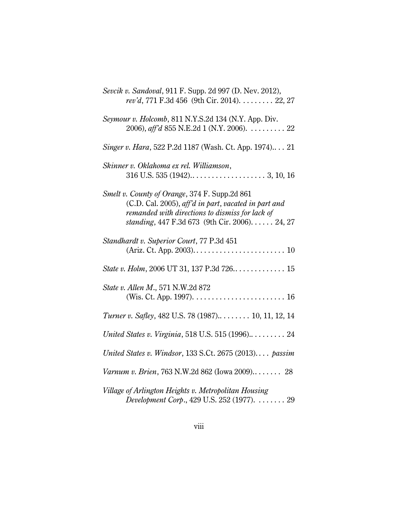| Sevcik v. Sandoval, 911 F. Supp. 2d 997 (D. Nev. 2012),<br>rev'd, 771 F.3d 456 (9th Cir. 2014). 22, 27                                                                                                     |
|------------------------------------------------------------------------------------------------------------------------------------------------------------------------------------------------------------|
| Seymour v. Holcomb, 811 N.Y.S.2d 134 (N.Y. App. Div.<br>2006), aff'd 855 N.E.2d 1 (N.Y. 2006). $\dots \dots \dots 22$                                                                                      |
| Singer v. Hara, 522 P.2d 1187 (Wash. Ct. App. 1974) 21                                                                                                                                                     |
| Skinner v. Oklahoma ex rel. Williamson,                                                                                                                                                                    |
| Smelt v. County of Orange, 374 F. Supp.2d 861<br>(C.D. Cal. 2005), aff'd in part, vacated in part and<br>remanded with directions to dismiss for lack of<br>standing, 447 F.3d 673 (9th Cir. 2006). 24, 27 |
| Standhardt v. Superior Court, 77 P.3d 451                                                                                                                                                                  |
|                                                                                                                                                                                                            |
| State v. Allen M., 571 N.W.2d 872                                                                                                                                                                          |
| Turner v. Safley, 482 U.S. 78 (1987) 10, 11, 12, 14                                                                                                                                                        |
| United States v. Virginia, 518 U.S. 515 (1996) 24                                                                                                                                                          |
| United States v. Windsor, 133 S.Ct. 2675 (2013) passim                                                                                                                                                     |
| Varnum v. Brien, 763 N.W.2d 862 (Iowa 2009) 28                                                                                                                                                             |
| Village of Arlington Heights v. Metropolitan Housing<br>Development Corp., 429 U.S. 252 (1977).  29                                                                                                        |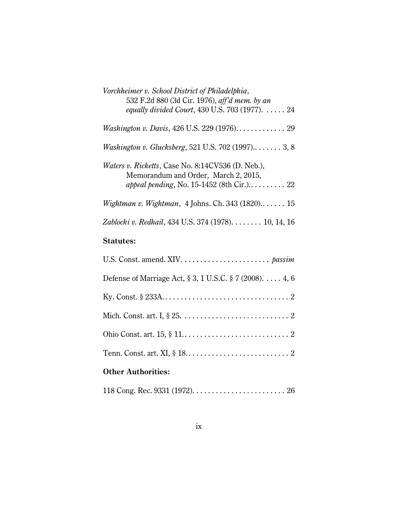| Vorchheimer v. School District of Philadelphia,<br>532 F.2d 880 (3d Cir. 1976), aff'd mem. by an<br>equally divided Court, 430 U.S. 703 (1977). 24 |
|----------------------------------------------------------------------------------------------------------------------------------------------------|
| Washington v. Davis, 426 U.S. 229 (1976) 29                                                                                                        |
| Washington v. Glucksberg, 521 U.S. 702 (1997) 3, 8                                                                                                 |
| <i>Waters v. Ricketts, Case No. 8:14CV536 (D. Neb.),</i><br>Memorandum and Order, March 2, 2015,                                                   |
| Wightman v. Wightman, 4 Johns. Ch. 343 $(1820)$ 15                                                                                                 |
| Zablocki v. Redhail, 434 U.S. 374 (1978). 10, 14, 16                                                                                               |

# **Statutes:**

| Defense of Marriage Act, § 3, 1 U.S.C. § 7 (2008). 4, 6 |  |
|---------------------------------------------------------|--|
|                                                         |  |
|                                                         |  |
|                                                         |  |
|                                                         |  |
| <b>Other Authorities:</b>                               |  |

|--|--|--|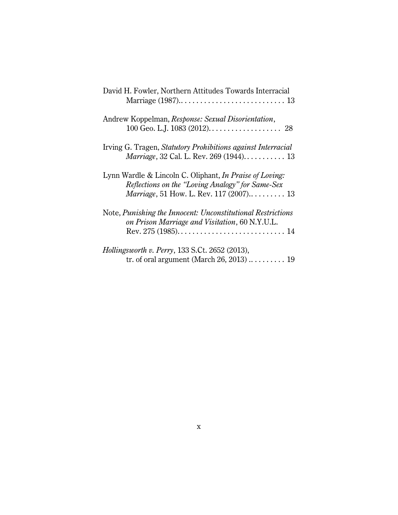| David H. Fowler, Northern Attitudes Towards Interracial                                                                                                        |
|----------------------------------------------------------------------------------------------------------------------------------------------------------------|
| Andrew Koppelman, Response: Sexual Disorientation,                                                                                                             |
| Irving G. Tragen, Statutory Prohibitions against Interracial                                                                                                   |
| Lynn Wardle & Lincoln C. Oliphant, In Praise of Loving:<br>Reflections on the "Loving Analogy" for Same-Sex<br><i>Marriage</i> , 51 How. L. Rev. 117 (2007) 13 |
| Note, Punishing the Innocent: Unconstitutional Restrictions<br>on Prison Marriage and Visitation, 60 N.Y.U.L.                                                  |
| <i>Hollingsworth v. Perry</i> , 133 S.Ct. 2652 (2013),<br>tr. of oral argument (March 26, 2013) $\dots \dots \dots$ 19                                         |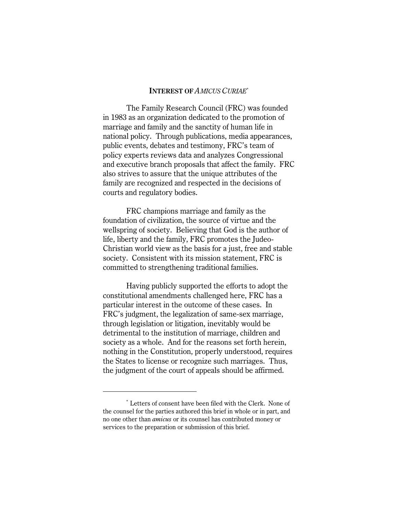#### **INTEREST OF** *AMICUS CURIAE* \*

The Family Research Council (FRC) was founded in 1983 as an organization dedicated to the promotion of marriage and family and the sanctity of human life in national policy. Through publications, media appearances, public events, debates and testimony, FRC's team of policy experts reviews data and analyzes Congressional and executive branch proposals that affect the family. FRC also strives to assure that the unique attributes of the family are recognized and respected in the decisions of courts and regulatory bodies.

FRC champions marriage and family as the foundation of civilization, the source of virtue and the wellspring of society. Believing that God is the author of life, liberty and the family, FRC promotes the Judeo-Christian world view as the basis for a just, free and stable society. Consistent with its mission statement, FRC is committed to strengthening traditional families.

Having publicly supported the efforts to adopt the constitutional amendments challenged here, FRC has a particular interest in the outcome of these cases. In FRC's judgment, the legalization of same-sex marriage, through legislation or litigation, inevitably would be detrimental to the institution of marriage, children and society as a whole. And for the reasons set forth herein, nothing in the Constitution, properly understood, requires the States to license or recognize such marriages. Thus, the judgment of the court of appeals should be affirmed.

Letters of consent have been filed with the Clerk. None of \* the counsel for the parties authored this brief in whole or in part, and no one other than *amicus* or its counsel has contributed money or services to the preparation or submission of this brief.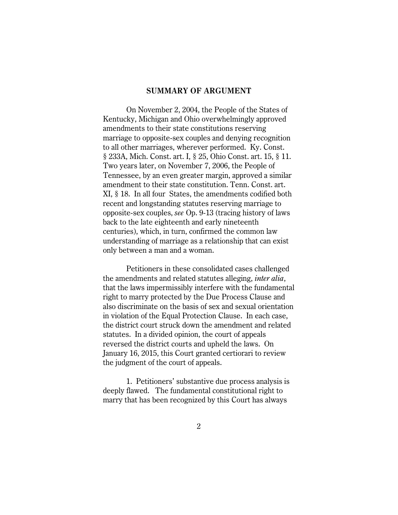### **SUMMARY OF ARGUMENT**

On November 2, 2004, the People of the States of Kentucky, Michigan and Ohio overwhelmingly approved amendments to their state constitutions reserving marriage to opposite-sex couples and denying recognition to all other marriages, wherever performed. Ky. Const. § 233A, Mich. Const. art. I, § 25, Ohio Const. art. 15, § 11. Two years later, on November 7, 2006, the People of Tennessee, by an even greater margin, approved a similar amendment to their state constitution. Tenn. Const. art. XI, § 18. In all four States, the amendments codified both recent and longstanding statutes reserving marriage to opposite-sex couples, *see* Op. 9-13 (tracing history of laws back to the late eighteenth and early nineteenth centuries), which, in turn, confirmed the common law understanding of marriage as a relationship that can exist only between a man and a woman.

Petitioners in these consolidated cases challenged the amendments and related statutes alleging, *inter alia*, that the laws impermissibly interfere with the fundamental right to marry protected by the Due Process Clause and also discriminate on the basis of sex and sexual orientation in violation of the Equal Protection Clause. In each case, the district court struck down the amendment and related statutes. In a divided opinion, the court of appeals reversed the district courts and upheld the laws. On January 16, 2015, this Court granted certiorari to review the judgment of the court of appeals.

1. Petitioners' substantive due process analysis is deeply flawed. The fundamental constitutional right to marry that has been recognized by this Court has always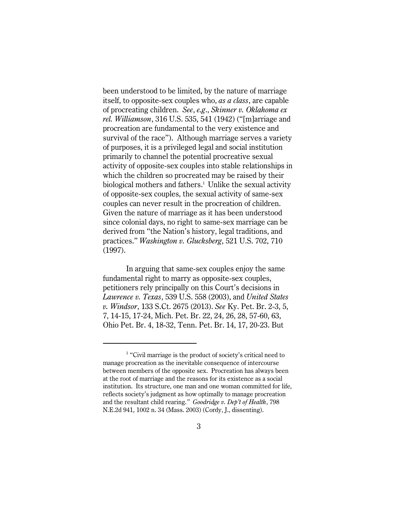been understood to be limited, by the nature of marriage itself, to opposite-sex couples who, *as a class*, are capable of procreating children. *See*, *e.g*., *Skinner v. Oklahoma ex rel. Williamson*, 316 U.S. 535, 541 (1942) ("[m]arriage and procreation are fundamental to the very existence and survival of the race"). Although marriage serves a variety of purposes, it is a privileged legal and social institution primarily to channel the potential procreative sexual activity of opposite-sex couples into stable relationships in which the children so procreated may be raised by their biological mothers and fathers.<sup>1</sup> Unlike the sexual activity of opposite-sex couples, the sexual activity of same-sex couples can never result in the procreation of children. Given the nature of marriage as it has been understood since colonial days, no right to same-sex marriage can be derived from "the Nation's history, legal traditions, and practices." *Washington v. Glucksberg*, 521 U.S. 702, 710 (1997).

In arguing that same-sex couples enjoy the same fundamental right to marry as opposite-sex couples, petitioners rely principally on this Court's decisions in *Lawrence v. Texas*, 539 U.S. 558 (2003), and *United States v. Windsor*, 133 S.Ct. 2675 (2013). *See* Ky. Pet. Br. 2-3, 5, 7, 14-15, 17-24, Mich. Pet. Br. 22, 24, 26, 28, 57-60, 63, Ohio Pet. Br. 4, 18-32, Tenn. Pet. Br. 14, 17, 20-23. But

 $<sup>1</sup>$  "Civil marriage is the product of society's critical need to</sup> manage procreation as the inevitable consequence of intercourse between members of the opposite sex. Procreation has always been at the root of marriage and the reasons for its existence as a social institution. Its structure, one man and one woman committed for life, reflects society's judgment as how optimally to manage procreation and the resultant child rearing.*" Goodridge v. Dep't of Health*, 798 N.E.2d 941, 1002 n. 34 (Mass. 2003) (Cordy, J., dissenting).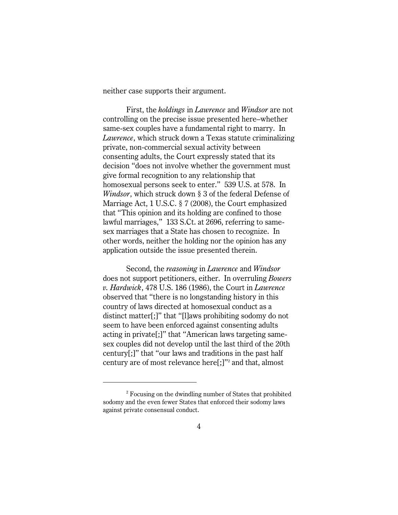neither case supports their argument.

First, the *holdings* in *Lawrence* and *Windsor* are not controlling on the precise issue presented here–whether same-sex couples have a fundamental right to marry. In *Lawrence*, which struck down a Texas statute criminalizing private, non-commercial sexual activity between consenting adults, the Court expressly stated that its decision "does not involve whether the government must give formal recognition to any relationship that homosexual persons seek to enter." 539 U.S. at 578. In *Windsor*, which struck down § 3 of the federal Defense of Marriage Act, 1 U.S.C. § 7 (2008), the Court emphasized that "This opinion and its holding are confined to those lawful marriages," 133 S.Ct. at 2696, referring to samesex marriages that a State has chosen to recognize. In other words, neither the holding nor the opinion has any application outside the issue presented therein.

Second, the *reasoning* in *Lawrence* and *Windsor* does not support petitioners, either. In overruling *Bowers v. Hardwick*, 478 U.S. 186 (1986), the Court in *Lawrence* observed that "there is no longstanding history in this country of laws directed at homosexual conduct as a distinct matter[;]" that "[l]aws prohibiting sodomy do not seem to have been enforced against consenting adults acting in private[;]" that "American laws targeting samesex couples did not develop until the last third of the 20th century[;]" that "our laws and traditions in the past half century are of most relevance here $[$ ; $]$ " and that, almost

 $2^2$  Focusing on the dwindling number of States that prohibited sodomy and the even fewer States that enforced their sodomy laws against private consensual conduct.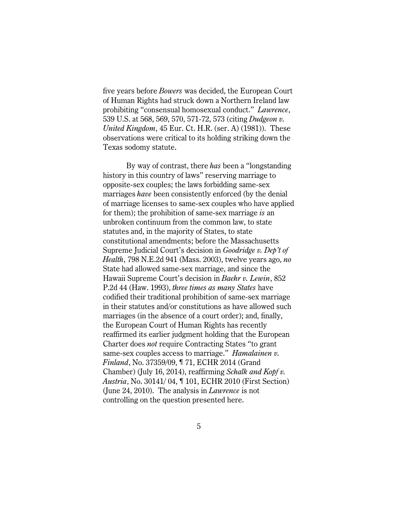five years before *Bowers* was decided, the European Court of Human Rights had struck down a Northern Ireland law prohibiting "consensual homosexual conduct." *Lawrence*, 539 U.S. at 568, 569, 570, 571-72, 573 (citing *Dudgeon v. United Kingdom*, 45 Eur. Ct. H.R. (ser. A) (1981)). These observations were critical to its holding striking down the Texas sodomy statute.

By way of contrast, there *has* been a "longstanding history in this country of laws" reserving marriage to opposite-sex couples; the laws forbidding same-sex marriages *have* been consistently enforced (by the denial of marriage licenses to same-sex couples who have applied for them); the prohibition of same-sex marriage *is* an unbroken continuum from the common law, to state statutes and, in the majority of States, to state constitutional amendments; before the Massachusetts Supreme Judicial Court's decision in *Goodridge v. Dep't of Health*, 798 N.E.2d 941 (Mass. 2003), twelve years ago, *no* State had allowed same-sex marriage, and since the Hawaii Supreme Court's decision in *Baehr v. Lewin*, 852 P.2d 44 (Haw. 1993), *three times as many States* have codified their traditional prohibition of same-sex marriage in their statutes and/or constitutions as have allowed such marriages (in the absence of a court order); and, finally, the European Court of Human Rights has recently reaffirmed its earlier judgment holding that the European Charter does *not* require Contracting States "to grant same-sex couples access to marriage." *Hamalainen v. Finland*, No. 37359/09, ¶ 71, ECHR 2014 (Grand Chamber) (July 16, 2014), reaffirming *Schalk and Kopf v. Austria*, No. 30141/ 04, ¶ 101, ECHR 2010 (First Section) (June 24, 2010). The analysis in *Lawrence* is not controlling on the question presented here.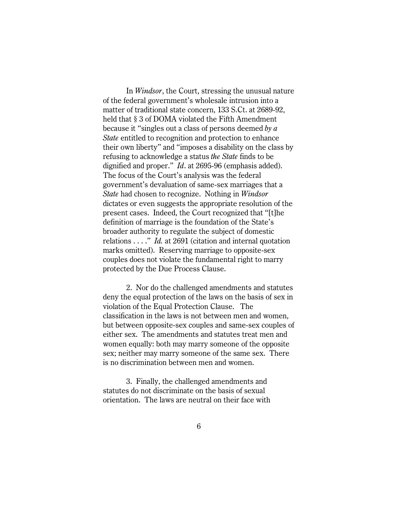In *Windsor*, the Court, stressing the unusual nature of the federal government's wholesale intrusion into a matter of traditional state concern, 133 S.Ct. at 2689-92, held that § 3 of DOMA violated the Fifth Amendment because it "singles out a class of persons deemed *by a State* entitled to recognition and protection to enhance their own liberty" and "imposes a disability on the class by refusing to acknowledge a status *the State* finds to be dignified and proper." *Id*. at 2695-96 (emphasis added). The focus of the Court's analysis was the federal government's devaluation of same-sex marriages that a *State* had chosen to recognize. Nothing in *Windsor* dictates or even suggests the appropriate resolution of the present cases. Indeed, the Court recognized that "[t]he definition of marriage is the foundation of the State's broader authority to regulate the subject of domestic relations . . . ." *Id.* at 2691 (citation and internal quotation marks omitted). Reserving marriage to opposite-sex couples does not violate the fundamental right to marry protected by the Due Process Clause.

2. Nor do the challenged amendments and statutes deny the equal protection of the laws on the basis of sex in violation of the Equal Protection Clause. The classification in the laws is not between men and women, but between opposite-sex couples and same-sex couples of either sex. The amendments and statutes treat men and women equally: both may marry someone of the opposite sex; neither may marry someone of the same sex. There is no discrimination between men and women.

3. Finally, the challenged amendments and statutes do not discriminate on the basis of sexual orientation. The laws are neutral on their face with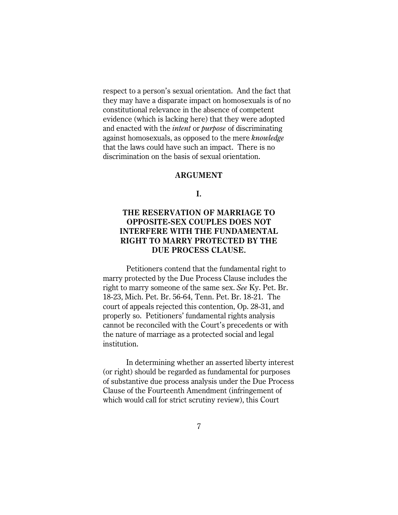respect to a person's sexual orientation. And the fact that they may have a disparate impact on homosexuals is of no constitutional relevance in the absence of competent evidence (which is lacking here) that they were adopted and enacted with the *intent* or *purpose* of discriminating against homosexuals, as opposed to the mere *knowledge* that the laws could have such an impact. There is no discrimination on the basis of sexual orientation.

#### **ARGUMENT**

**I.**

# **THE RESERVATION OF MARRIAGE TO OPPOSITE-SEX COUPLES DOES NOT INTERFERE WITH THE FUNDAMENTAL RIGHT TO MARRY PROTECTED BY THE DUE PROCESS CLAUSE.**

Petitioners contend that the fundamental right to marry protected by the Due Process Clause includes the right to marry someone of the same sex. *See* Ky. Pet. Br. 18-23, Mich. Pet. Br. 56-64, Tenn. Pet. Br. 18-21. The court of appeals rejected this contention, Op. 28-31, and properly so. Petitioners' fundamental rights analysis cannot be reconciled with the Court's precedents or with the nature of marriage as a protected social and legal institution.

In determining whether an asserted liberty interest (or right) should be regarded as fundamental for purposes of substantive due process analysis under the Due Process Clause of the Fourteenth Amendment (infringement of which would call for strict scrutiny review), this Court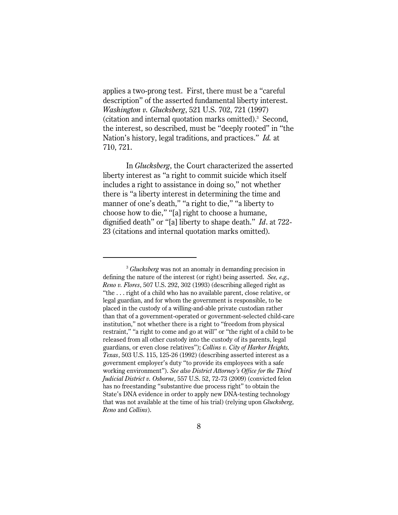applies a two-prong test. First, there must be a "careful description" of the asserted fundamental liberty interest. *Washington v. Glucksberg*, 521 U.S. 702, 721 (1997) (citation and internal quotation marks omitted).<sup>3</sup> Second, the interest, so described, must be "deeply rooted" in "the Nation's history, legal traditions, and practices." *Id.* at 710, 721.

In *Glucksberg*, the Court characterized the asserted liberty interest as "a right to commit suicide which itself includes a right to assistance in doing so," not whether there is "a liberty interest in determining the time and manner of one's death," "a right to die," "a liberty to choose how to die," "[a] right to choose a humane, dignified death" or "[a] liberty to shape death." *Id*. at 722- 23 (citations and internal quotation marks omitted).

<sup>&</sup>lt;sup>3</sup> *Glucksberg* was not an anomaly in demanding precision in defining the nature of the interest (or right) being asserted. *See, e.g., Reno v. Flores*, 507 U.S. 292, 302 (1993) (describing alleged right as "the . . . right of a child who has no available parent, close relative, or legal guardian, and for whom the government is responsible, to be placed in the custody of a willing-and-able private custodian rather than that of a government-operated or government-selected child-care institution," not whether there is a right to "freedom from physical restraint," "a right to come and go at will" or "the right of a child to be released from all other custody into the custody of its parents, legal guardians, or even close relatives"); *Collins v. City of Harker Heights, Texas*, 503 U.S. 115, 125-26 (1992) (describing asserted interest as a government employer's duty "to provide its employees with a safe working environment"). *See also District Attorney's Office for the Third Judicial District v. Osborne*, 557 U.S. 52, 72-73 (2009) (convicted felon has no freestanding "substantive due process right" to obtain the State's DNA evidence in order to apply new DNA-testing technology that was not available at the time of his trial) (relying upon *Glucksberg*, *Reno* and *Collins*).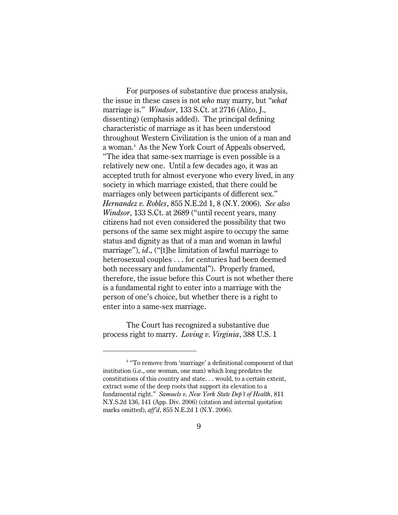For purposes of substantive due process analysis, the issue in these cases is not *who* may marry, but "*what* marriage is." *Windsor*, 133 S.Ct. at 2716 (Alito, J., dissenting) (emphasis added). The principal defining characteristic of marriage as it has been understood throughout Western Civilization is the union of a man and a woman.<sup>4</sup> As the New York Court of Appeals observed, "The idea that same-sex marriage is even possible is a relatively new one. Until a few decades ago, it was an accepted truth for almost everyone who every lived, in any society in which marriage existed, that there could be marriages only between participants of different sex." *Hernandez v. Robles*, 855 N.E.2d 1, 8 (N.Y. 2006). *See also Windsor*, 133 S.Ct. at 2689 ("until recent years, many citizens had not even considered the possibility that two persons of the same sex might aspire to occupy the same status and dignity as that of a man and woman in lawful marriage"), *id*., ("[t]he limitation of lawful marriage to heterosexual couples . . . for centuries had been deemed both necessary and fundamental"). Properly framed, therefore, the issue before this Court is not whether there is a fundamental right to enter into a marriage with the person of one's choice, but whether there is a right to enter into a same-sex marriage.

 The Court has recognized a substantive due process right to marry. *Loving v. Virginia*, 388 U.S. 1

<sup>&</sup>lt;sup>4</sup> "To remove from 'marriage' a definitional component of that institution (i.e., one woman, one man) which long predates the constitutions of this country and state. . . would, to a certain extent, extract some of the deep roots that support its elevation to a fundamental right." *Samuels v. New York State Dep't of Health*, 811 N.Y.S.2d 136, 141 (App. Div. 2006) (citation and internal quotation marks omitted), *aff'd*, 855 N.E.2d 1 (N.Y. 2006).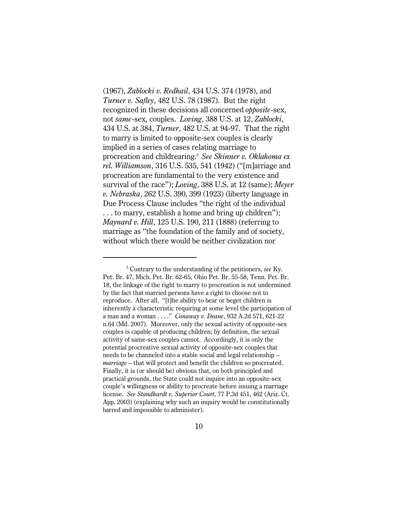(1967), *Zablocki v. Redhail*, 434 U.S. 374 (1978), and *Turner v. Safley*, 482 U.S. 78 (1987). But the right recognized in these decisions all concerned *opposite*-sex, not *same*-sex, couples. *Loving*, 388 U.S. at 12, *Zablocki*, 434 U.S. at 384, *Turner*, 482 U.S. at 94-97. That the right to marry is limited to opposite-sex couples is clearly implied in a series of cases relating marriage to procreation and childrearing.<sup>5</sup> See Skinner v. Oklahoma ex *rel. Williamson*, 316 U.S. 535, 541 (1942) ("[m]arriage and procreation are fundamental to the very existence and survival of the race"); *Loving*, 388 U.S. at 12 (same); *Meyer v. Nebraska*, 262 U.S. 390, 399 (1923) (liberty language in Due Process Clause includes "the right of the individual . . . to marry, establish a home and bring up children"); *Maynard v. Hill*, 125 U.S. 190, 211 (1888) (referring to marriage as "the foundation of the family and of society, without which there would be neither civilization nor

<sup>&</sup>lt;sup>5</sup> Contrary to the understanding of the petitioners, *see* Ky. Pet. Br. 47, Mich. Pet. Br. 62-65, Ohio Pet. Br. 55-58, Tenn. Pet. Br. 18, the linkage of the right to marry to procreation is not undermined by the fact that married persons have a right to choose not to reproduce. After all, "[t]he ability to bear or beget children is inherently a characteristic requiring at some level the participation of a man and a woman . . . ." *Conaway v. Deane*, 932 A.2d 571, 621-22 n.64 (Md. 2007). Moreover, only the sexual activity of opposite-sex couples is capable of producing children; by definition, the sexual activity of same-sex couples cannot. Accordingly, it is only the potential procreative sexual activity of opposite-sex couples that needs to be channeled into a stable social and legal relationship – *marriage* – that will protect and benefit the children so procreated. Finally, it is (or should be) obvious that, on both principled and practical grounds, the State could not inquire into an opposite-sex couple's willingness or ability to procreate before issuing a marriage license. *See Standhardt v. Superior Court*, 77 P.3d 451, 462 (Ariz. Ct. App. 2003) (explaining why such an inquiry would be constitutionally barred and impossible to administer).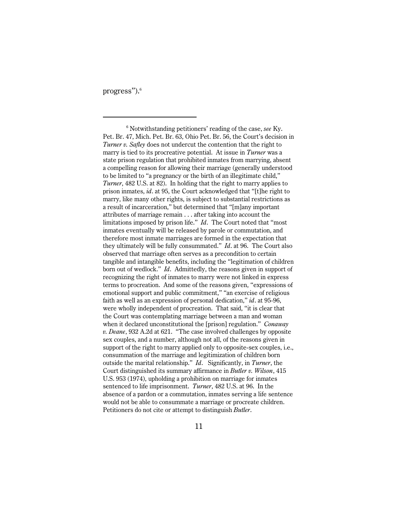progress").<sup>6</sup>

<sup>6</sup> Notwithstanding petitioners' reading of the case, see Ky. Pet. Br. 47, Mich. Pet. Br. 63, Ohio Pet. Br. 56, the Court's decision in *Turner v. Safley* does not undercut the contention that the right to marry is tied to its procreative potential. At issue in *Turner* was a state prison regulation that prohibited inmates from marrying, absent a compelling reason for allowing their marriage (generally understood to be limited to "a pregnancy or the birth of an illegitimate child," *Turner*, 482 U.S. at 82). In holding that the right to marry applies to prison inmates, *id*. at 95, the Court acknowledged that "[t]he right to marry, like many other rights, is subject to substantial restrictions as a result of incarceration," but determined that "[m]any important attributes of marriage remain . . . after taking into account the limitations imposed by prison life." *Id*. The Court noted that "most inmates eventually will be released by parole or commutation, and therefore most inmate marriages are formed in the expectation that they ultimately will be fully consummated." *Id*. at 96. The Court also observed that marriage often serves as a precondition to certain tangible and intangible benefits, including the "legitimation of children born out of wedlock." *Id*. Admittedly, the reasons given in support of recognizing the right of inmates to marry were not linked in express terms to procreation. And some of the reasons given, "expressions of emotional support and public commitment," "an exercise of religious faith as well as an expression of personal dedication," *id*. at 95-96, were wholly independent of procreation. That said, "it is clear that the Court was contemplating marriage between a man and woman when it declared unconstitutional the [prison] regulation." *Conaway v. Deane*, 932 A.2d at 621. "The case involved challenges by opposite sex couples, and a number, although not all, of the reasons given in support of the right to marry applied only to opposite-sex couples, i.e., consummation of the marriage and legitimization of children born outside the marital relationship." *Id*. Significantly, in *Turner*, the Court distinguished its summary affirmance in *Butler v. Wilson*, 415 U.S. 953 (1974), upholding a prohibition on marriage for inmates sentenced to life imprisonment. *Turner*, 482 U.S. at 96. In the absence of a pardon or a commutation, inmates serving a life sentence would not be able to consummate a marriage or procreate children. Petitioners do not cite or attempt to distinguish *Butler*.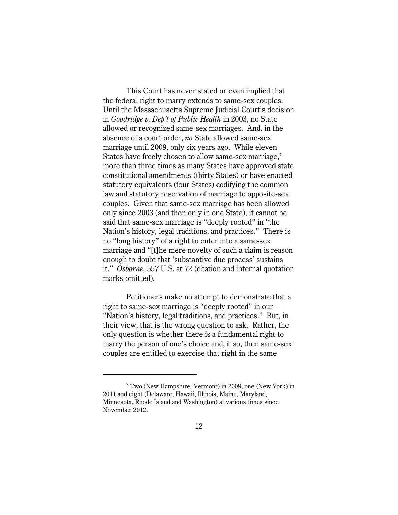This Court has never stated or even implied that the federal right to marry extends to same-sex couples. Until the Massachusetts Supreme Judicial Court's decision in *Goodridge v. Dep't of Public Health* in 2003, no State allowed or recognized same-sex marriages. And, in the absence of a court order, *no* State allowed same-sex marriage until 2009, only six years ago. While eleven States have freely chosen to allow same-sex marriage,<sup>7</sup> more than three times as many States have approved state constitutional amendments (thirty States) or have enacted statutory equivalents (four States) codifying the common law and statutory reservation of marriage to opposite-sex couples. Given that same-sex marriage has been allowed only since 2003 (and then only in one State), it cannot be said that same-sex marriage is "deeply rooted" in "the Nation's history, legal traditions, and practices." There is no "long history" of a right to enter into a same-sex marriage and "[t]he mere novelty of such a claim is reason enough to doubt that 'substantive due process' sustains it." *Osborne*, 557 U.S. at 72 (citation and internal quotation marks omitted).

Petitioners make no attempt to demonstrate that a right to same-sex marriage is "deeply rooted" in our "Nation's history, legal traditions, and practices." But, in their view, that is the wrong question to ask. Rather, the only question is whether there is a fundamental right to marry the person of one's choice and, if so, then same-sex couples are entitled to exercise that right in the same

 $7$  Two (New Hampshire, Vermont) in 2009, one (New York) in 2011 and eight (Delaware, Hawaii, Illinois, Maine, Maryland, Minnesota, Rhode Island and Washington) at various times since November 2012.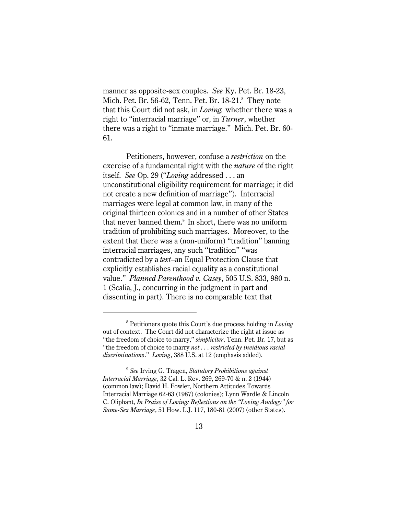manner as opposite-sex couples. *See* Ky. Pet. Br. 18-23, Mich. Pet. Br. 56-62, Tenn. Pet. Br. 18-21.<sup>8</sup> They note that this Court did not ask, in *Loving,* whether there was a right to "interracial marriage" or, in *Turner*, whether there was a right to "inmate marriage." Mich. Pet. Br. 60- 61.

Petitioners, however, confuse a *restriction* on the exercise of a fundamental right with the *nature* of the right itself. *See* Op. 29 ("*Loving* addressed . . . an unconstitutional eligibility requirement for marriage; it did not create a new definition of marriage"). Interracial marriages were legal at common law, in many of the original thirteen colonies and in a number of other States that never banned them.<sup>9</sup> In short, there was no uniform tradition of prohibiting such marriages. Moreover, to the extent that there was a (non-uniform) "tradition" banning interracial marriages, any such "tradition" "was contradicted by a *text*–an Equal Protection Clause that explicitly establishes racial equality as a constitutional value." *Planned Parenthood v. Casey*, 505 U.S. 833, 980 n. 1 (Scalia, J., concurring in the judgment in part and dissenting in part). There is no comparable text that

<sup>&</sup>lt;sup>8</sup> Petitioners quote this Court's due process holding in *Loving* out of context. The Court did not characterize the right at issue as "the freedom of choice to marry," *simpliciter*, Tenn. Pet. Br. 17, but as "the freedom of choice to marry *not . . . restricted by invidious racial discriminations*." *Loving*, 388 U.S. at 12 (emphasis added).

*See* Irving G. Tragen, *Statutory Prohibitions against* <sup>9</sup> *Interracial Marriage*, 32 Cal. L. Rev. 269, 269-70 & n. 2 (1944) (common law); David H. Fowler, Northern Attitudes Towards Interracial Marriage 62-63 (1987) (colonies); Lynn Wardle & Lincoln C. Oliphant, *In Praise of Loving: Reflections on the "Loving Analogy" for Same-Sex Marriage*, 51 How. L.J. 117, 180-81 (2007) (other States).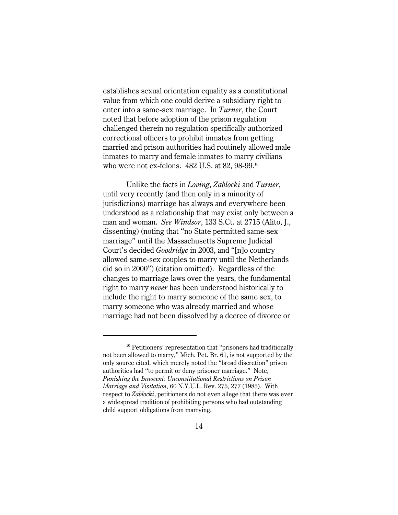establishes sexual orientation equality as a constitutional value from which one could derive a subsidiary right to enter into a same-sex marriage. In *Turner*, the Court noted that before adoption of the prison regulation challenged therein no regulation specifically authorized correctional officers to prohibit inmates from getting married and prison authorities had routinely allowed male inmates to marry and female inmates to marry civilians who were not ex-felons. 482 U.S. at 82, 98-99. 10

Unlike the facts in *Loving*, *Zablocki* and *Turner*, until very recently (and then only in a minority of jurisdictions) marriage has always and everywhere been understood as a relationship that may exist only between a man and woman. *See Windsor*, 133 S.Ct. at 2715 (Alito, J., dissenting) (noting that "no State permitted same-sex marriage" until the Massachusetts Supreme Judicial Court's decided *Goodridge* in 2003, and "[n]o country allowed same-sex couples to marry until the Netherlands did so in 2000") (citation omitted). Regardless of the changes to marriage laws over the years, the fundamental right to marry *never* has been understood historically to include the right to marry someone of the same sex, to marry someone who was already married and whose marriage had not been dissolved by a decree of divorce or

 $10$  Petitioners' representation that "prisoners had traditionally not been allowed to marry," Mich. Pet. Br. 61, is not supported by the only source cited, which merely noted the "broad discretion" prison authorities had "to permit or deny prisoner marriage." Note, *Punishing the Innocent: Unconstitutional Restrictions on Prison Marriage and Visitation*, 60 N.Y.U.L. Rev. 275, 277 (1985). With respect to *Zablocki*, petitioners do not even allege that there was ever a widespread tradition of prohibiting persons who had outstanding child support obligations from marrying.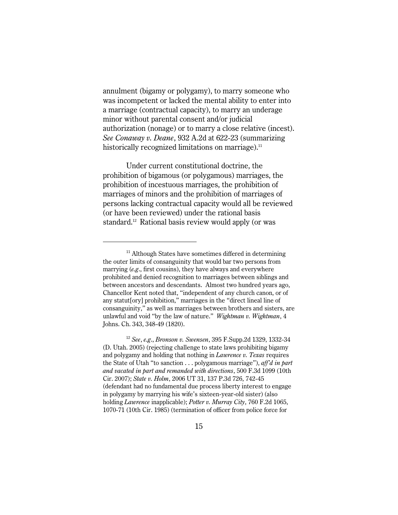annulment (bigamy or polygamy), to marry someone who was incompetent or lacked the mental ability to enter into a marriage (contractual capacity), to marry an underage minor without parental consent and/or judicial authorization (nonage) or to marry a close relative (incest). *See Conaway v. Deane*, 932 A.2d at 622-23 (summarizing historically recognized limitations on marriage).11

Under current constitutional doctrine, the prohibition of bigamous (or polygamous) marriages, the prohibition of incestuous marriages, the prohibition of marriages of minors and the prohibition of marriages of persons lacking contractual capacity would all be reviewed (or have been reviewed) under the rational basis standard. $12$  Rational basis review would apply (or was

 $11$  Although States have sometimes differed in determining the outer limits of consanguinity that would bar two persons from marrying (*e.g*., first cousins), they have always and everywhere prohibited and denied recognition to marriages between siblings and between ancestors and descendants. Almost two hundred years ago, Chancellor Kent noted that, "independent of any church canon, or of any statut[ory] prohibition," marriages in the "direct lineal line of consanguinity," as well as marriages between brothers and sisters, are unlawful and void "by the law of nature." *Wightman v. Wightman*, 4 Johns. Ch. 343, 348-49 (1820).

<sup>&</sup>lt;sup>12</sup> See, e.g., *Bronson v. Swensen*, 395 F.Supp.2d 1329, 1332-34 (D. Utah. 2005) (rejecting challenge to state laws prohibiting bigamy and polygamy and holding that nothing in *Lawrence v. Texas* requires the State of Utah "to sanction . . . polygamous marriage"), *aff'd in part and vacated in part and remanded with directions*, 500 F.3d 1099 (10th Cir. 2007); *State v. Holm*, 2006 UT 31, 137 P.3d 726, 742-45 (defendant had no fundamental due process liberty interest to engage in polygamy by marrying his wife's sixteen-year-old sister) (also holding *Lawrence* inapplicable); *Potter v. Murray City*, 760 F.2d 1065, 1070-71 (10th Cir. 1985) (termination of officer from police force for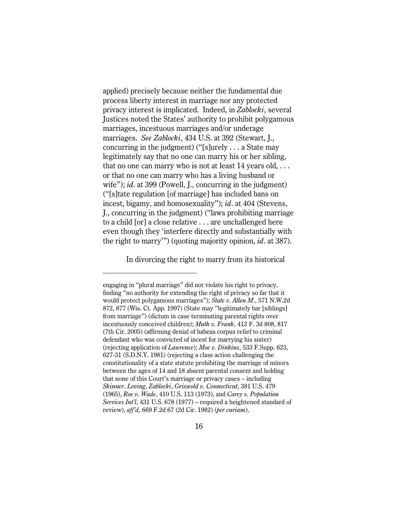applied) precisely because neither the fundamental due process liberty interest in marriage nor any protected privacy interest is implicated. Indeed, in *Zablocki*, several Justices noted the States' authority to prohibit polygamous marriages, incestuous marriages and/or underage marriages. *See Zablocki*, 434 U.S. at 392 (Stewart, J., concurring in the judgment) ("[s]urely . . . a State may legitimately say that no one can marry his or her sibling, that no one can marry who is not at least  $14$  years old,  $\dots$ or that no one can marry who has a living husband or wife"); *id*. at 399 (Powell, J., concurring in the judgment) ("[s]tate regulation [of marriage] has included bans on incest, bigamy, and homosexuality"); *id*. at 404 (Stevens, J., concurring in the judgment) ("laws prohibiting marriage to a child [or] a close relative . . . are unchallenged here even though they 'interfere directly and substantially with the right to marry'") (quoting majority opinion, *id*. at 387).

In divorcing the right to marry from its historical

engaging in "plural marriage" did not violate his right to privacy, finding "no authority for extending the right of privacy so far that it would protect polygamous marriages"); *State v. Allen M*., 571 N.W.2d 872, 877 (Wis. Ct. App. 1997) (State may "legitimately bar [siblings] from marriage") (dictum in case terminating parental rights over incestuously conceived children); *Muth v. Frank*, 412 F. 3d 808, 817 (7th Cir. 2005) (affirming denial of habeas corpus relief to criminal defendant who was convicted of incest for marrying his sister) (rejecting application of *Lawrence*); *Moe v. Dinkins*, 533 F.Supp. 623, 627-31 (S.D.N.Y. 1981) (rejecting a class action challenging the constitutionality of a state statute prohibiting the marriage of minors between the ages of 14 and 18 absent parental consent and holding that none of this Court's marriage or privacy cases – including *Skinner*, *Loving*, *Zablocki*, *Griswold v. Connecticut*, 381 U.S. 479 (1965), *Roe v. Wade*, 410 U.S. 113 (1973), and *Carey v. Population Services Int'l*, 431 U.S. 678 (1977) – required a heightened standard of review), *aff'd*, 669 F.2d 67 (2d Cir. 1982) (*per curiam*).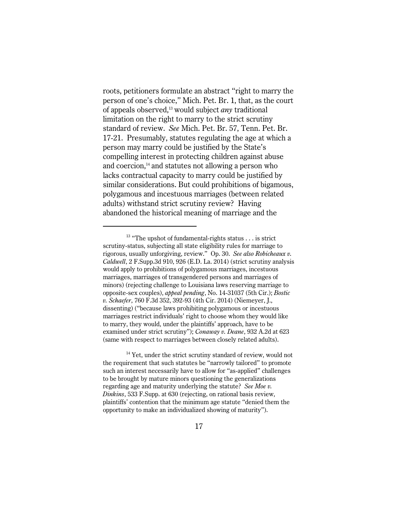roots, petitioners formulate an abstract "right to marry the person of one's choice," Mich. Pet. Br. 1, that, as the court of appeals observed,<sup>13</sup> would subject *any* traditional limitation on the right to marry to the strict scrutiny standard of review. *See* Mich. Pet. Br. 57, Tenn. Pet. Br. 17-21. Presumably, statutes regulating the age at which a person may marry could be justified by the State's compelling interest in protecting children against abuse and coercion, $<sup>14</sup>$  and statutes not allowing a person who</sup> lacks contractual capacity to marry could be justified by similar considerations. But could prohibitions of bigamous, polygamous and incestuous marriages (between related adults) withstand strict scrutiny review? Having abandoned the historical meaning of marriage and the

 $14$  Yet, under the strict scrutiny standard of review, would not the requirement that such statutes be "narrowly tailored" to promote such an interest necessarily have to allow for "as-applied" challenges to be brought by mature minors questioning the generalizations regarding age and maturity underlying the statute? *See Moe v. Dinkins*, 533 F.Supp. at 630 (rejecting, on rational basis review, plaintiffs' contention that the minimum age statute "denied them the opportunity to make an individualized showing of maturity").

 $13$  "The upshot of fundamental-rights status . . . is strict scrutiny-status, subjecting all state eligibility rules for marriage to rigorous, usually unforgiving, review." Op. 30. *See also Robicheaux v. Caldwell*, 2 F.Supp.3d 910, 926 (E.D. La. 2014) (strict scrutiny analysis would apply to prohibitions of polygamous marriages, incestuous marriages, marriages of transgendered persons and marriages of minors) (rejecting challenge to Louisiana laws reserving marriage to opposite-sex couples), *appeal pending*, No. 14-31037 (5th Cir.); *Bostic v. Schaefer*, 760 F.3d 352, 392-93 (4th Cir. 2014) (Niemeyer, J., dissenting) ("because laws prohibiting polygamous or incestuous marriages restrict individuals' right to choose whom they would like to marry, they would, under the plaintiffs' approach, have to be examined under strict scrutiny"); *Conaway v. Deane*, 932 A.2d at 623 (same with respect to marriages between closely related adults).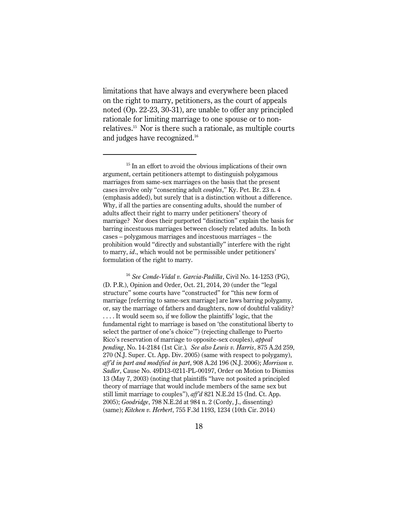limitations that have always and everywhere been placed on the right to marry, petitioners, as the court of appeals noted (Op. 22-23, 30-31), are unable to offer any principled rationale for limiting marriage to one spouse or to nonrelatives. $^{15}$  Nor is there such a rationale, as multiple courts and judges have recognized.<sup>16</sup>

<sup>16</sup> See Conde-Vidal v. Garcia-Padilla, Civil No. 14-1253 (PG), (D. P.R.), Opinion and Order, Oct. 21, 2014, 20 (under the "legal structure" some courts have "constructed" for "this new form of marriage [referring to same-sex marriage] are laws barring polygamy, or, say the marriage of fathers and daughters, now of doubtful validity? . . . . It would seem so, if we follow the plaintiffs' logic, that the fundamental right to marriage is based on 'the constitutional liberty to select the partner of one's choice'") (rejecting challenge to Puerto Rico's reservation of marriage to opposite-sex couples), *appeal pending*, No. 14-2184 (1st Cir.)*. See also Lewis v. Harris*, 875 A.2d 259, 270 (N.J. Super. Ct. App. Div. 2005) (same with respect to polygamy), *aff'd in part and modified in part*, 908 A.2d 196 (N.J. 2006); *Morrison v. Sadler*, Cause No. 49D13-0211-PL-00197, Order on Motion to Dismiss 13 (May 7, 2003) (noting that plaintiffs "have not posited a principled theory of marriage that would include members of the same sex but still limit marriage to couples"), *aff'd* 821 N.E.2d 15 (Ind. Ct. App. 2005); *Goodridge*, 798 N.E.2d at 984 n. 2 (Cordy, J., dissenting) (same); *Kitchen v. Herbert*, 755 F.3d 1193, 1234 (10th Cir. 2014)

 $15$  In an effort to avoid the obvious implications of their own argument, certain petitioners attempt to distinguish polygamous marriages from same-sex marriages on the basis that the present cases involve only "consenting adult *couples*," Ky. Pet. Br. 23 n. 4 (emphasis added), but surely that is a distinction without a difference. Why, if all the parties are consenting adults, should the number of adults affect their right to marry under petitioners' theory of marriage? Nor does their purported "distinction" explain the basis for barring incestuous marriages between closely related adults. In both cases – polygamous marriages and incestuous marriages – the prohibition would "directly and substantially" interfere with the right to marry, *id*., which would not be permissible under petitioners' formulation of the right to marry.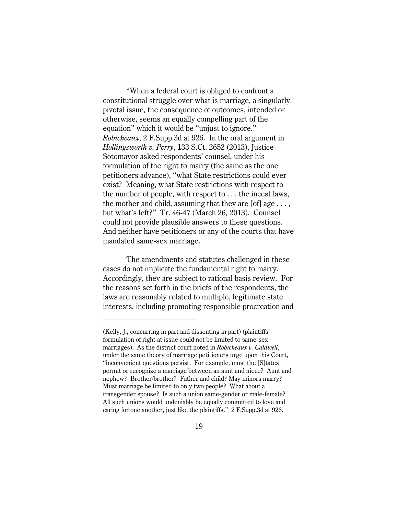"When a federal court is obliged to confront a constitutional struggle over what is marriage, a singularly pivotal issue, the consequence of outcomes, intended or otherwise, seems an equally compelling part of the equation" which it would be "unjust to ignore." *Robicheaux*, 2 F.Supp.3d at 926. In the oral argument in *Hollingsworth v. Perry*, 133 S.Ct. 2652 (2013), Justice Sotomayor asked respondents' counsel, under his formulation of the right to marry (the same as the one petitioners advance), "what State restrictions could ever exist? Meaning, what State restrictions with respect to the number of people, with respect to . . . the incest laws, the mother and child, assuming that they are  $[of]$  age  $\dots$ , but what's left?" Tr. 46-47 (March 26, 2013). Counsel could not provide plausible answers to these questions. And neither have petitioners or any of the courts that have mandated same-sex marriage.

The amendments and statutes challenged in these cases do not implicate the fundamental right to marry. Accordingly, they are subject to rational basis review. For the reasons set forth in the briefs of the respondents, the laws are reasonably related to multiple, legitimate state interests, including promoting responsible procreation and

<sup>(</sup>Kelly, J., concurring in part and dissenting in part) (plaintiffs' formulation of right at issue could not be limited to same-sex marriages). As the district court noted in *Robicheaux v. Caldwell*, under the same theory of marriage petitioners urge upon this Court, "inconvenient questions persist. For example, must the [S]tates permit or recognize a marriage between an aunt and niece? Aunt and nephew? Brother/brother? Father and child? May minors marry? Must marriage be limited to only two people? What about a transgender spouse? Is such a union same-gender or male-female? All such unions would undeniably be equally committed to love and caring for one another, just like the plaintiffs." 2 F.Supp.3d at 926.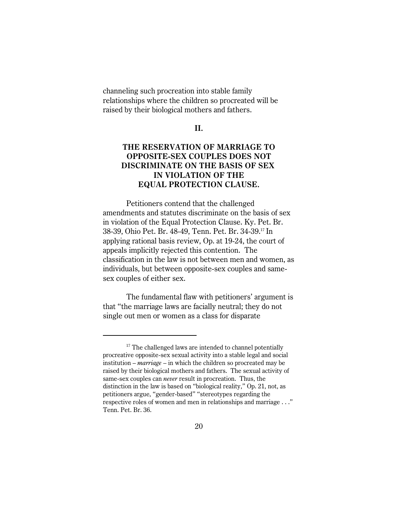channeling such procreation into stable family relationships where the children so procreated will be raised by their biological mothers and fathers.

#### **II.**

# **THE RESERVATION OF MARRIAGE TO OPPOSITE-SEX COUPLES DOES NOT DISCRIMINATE ON THE BASIS OF SEX IN VIOLATION OF THE EQUAL PROTECTION CLAUSE.**

Petitioners contend that the challenged amendments and statutes discriminate on the basis of sex in violation of the Equal Protection Clause. Ky. Pet. Br. 38-39, Ohio Pet. Br. 48-49, Tenn. Pet. Br. 34-39.<sup>17</sup> In applying rational basis review, Op. at 19-24, the court of appeals implicitly rejected this contention. The classification in the law is not between men and women, as individuals, but between opposite-sex couples and samesex couples of either sex.

The fundamental flaw with petitioners' argument is that "the marriage laws are facially neutral; they do not single out men or women as a class for disparate

 $17$  The challenged laws are intended to channel potentially procreative opposite-sex sexual activity into a stable legal and social institution – *marriage* – in which the children so procreated may be raised by their biological mothers and fathers. The sexual activity of same-sex couples can *never* result in procreation. Thus, the distinction in the law is based on "biological reality," Op. 21, not, as petitioners argue, "gender-based" "stereotypes regarding the respective roles of women and men in relationships and marriage . . ." Tenn. Pet. Br. 36.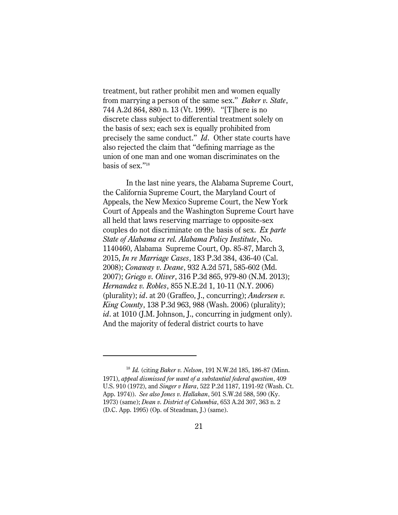treatment, but rather prohibit men and women equally from marrying a person of the same sex." *Baker v. State*, 744 A.2d 864, 880 n. 13 (Vt. 1999). "[T]here is no discrete class subject to differential treatment solely on the basis of sex; each sex is equally prohibited from precisely the same conduct." *Id*. Other state courts have also rejected the claim that "defining marriage as the union of one man and one woman discriminates on the basis of sex."<sup>18</sup>

In the last nine years, the Alabama Supreme Court, the California Supreme Court, the Maryland Court of Appeals, the New Mexico Supreme Court, the New York Court of Appeals and the Washington Supreme Court have all held that laws reserving marriage to opposite-sex couples do not discriminate on the basis of sex. *Ex parte State of Alabama ex rel. Alabama Policy Institute*, No. 1140460, Alabama Supreme Court, Op. 85-87, March 3, 2015, *In re Marriage Cases*, 183 P.3d 384, 436-40 (Cal. 2008); *Conaway v. Deane*, 932 A.2d 571, 585-602 (Md. 2007); *Griego v. Oliver*, 316 P.3d 865, 979-80 (N.M. 2013); *Hernandez v. Robles*, 855 N.E.2d 1, 10-11 (N.Y. 2006) (plurality); *id*. at 20 (Graffeo, J., concurring); *Andersen v. King County*, 138 P.3d 963, 988 (Wash. 2006) (plurality); *id*. at 1010 (J.M. Johnson, J., concurring in judgment only). And the majority of federal district courts to have

<sup>&</sup>lt;sup>18</sup> *Id.* (citing *Baker v. Nelson*, 191 N.W.2d 185, 186-87 (Minn. 1971), *appeal dismissed for want of a substantial federal question*, 409 U.S. 910 (1972), and *Singer v Hara*, 522 P.2d 1187, 1191-92 (Wash. Ct. App. 1974)). *See also Jones v. Hallahan*, 501 S.W.2d 588, 590 (Ky. 1973) (same); *Dean v. District of Columbia*, 653 A.2d 307, 363 n. 2 (D.C. App. 1995) (Op. of Steadman, J.) (same).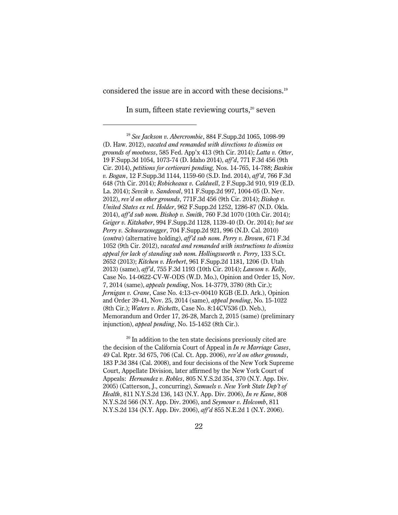considered the issue are in accord with these decisions.<sup>19</sup>

In sum, fifteen state reviewing courts, $20$  seven

<sup>&</sup>lt;sup>19</sup> See Jackson v. Abercrombie, 884 F.Supp.2d 1065, 1098-99 (D. Haw. 2012), *vacated and remanded with directions to dismiss on grounds of mootness*, 585 Fed. App'x 413 (9th Cir. 2014); *Latta v. Otter*, 19 F.Supp.3d 1054, 1073-74 (D. Idaho 2014), *aff'd*, 771 F.3d 456 (9th Cir. 2014), *petitions for certiorari pending,* Nos. 14-765, 14-788; *Baskin v. Bogan*, 12 F.Supp.3d 1144, 1159-60 (S.D. Ind. 2014), *aff'd*, 766 F.3d 648 (7th Cir. 2014); *Robicheaux v. Caldwell*, 2 F.Supp.3d 910, 919 (E.D. La. 2014); *Sevcik v. Sandoval*, 911 F.Supp.2d 997, 1004-05 (D. Nev. 2012), *rev'd on other grounds*, 771F.3d 456 (9th Cir. 2014); *Bishop v. United States ex rel. Holder*, 962 F.Supp.2d 1252, 1286-87 (N.D. Okla. 2014), *aff'd sub nom. Bishop v. Smith*, 760 F.3d 1070 (10th Cir. 2014); *Geiger v. Kitzhaber*, 994 F.Supp.2d 1128, 1139-40 (D. Or. 2014); *but see Perry v. Schwarzenegger*, 704 F.Supp.2d 921, 996 (N.D. Cal. 2010) (*contra*) (alternative holding), *aff'd sub nom. Perry v. Brown*, 671 F.3d 1052 (9th Cir. 2012), *vacated and remanded with instructions to dismiss appeal for lack of standing sub nom. Hollingsworth v. Perry*, 133 S.Ct. 2652 (2013); *Kitchen v. Herbert*, 961 F.Supp.2d 1181, 1206 (D. Utah 2013) (same), *aff'd*, 755 F.3d 1193 (10th Cir. 2014); *Lawson v. Kelly*, Case No. 14-0622-CV-W-ODS (W.D. Mo.), Opinion and Order 15, Nov. 7, 2014 (same), *appeals pending*, Nos. 14-3779, 3780 (8th Cir.); *Jernigan v. Crane*, Case No. 4:13-cv-00410 KGB (E.D. Ark.), Opinion and Order 39-41, Nov. 25, 2014 (same), *appeal pending*, No. 15-1022 (8th Cir.); *Waters v. Ricketts*, Case No. 8:14CV536 (D. Neb.), Memorandum and Order 17, 26-28, March 2, 2015 (same) (preliminary injunction), *appeal pending*, No. 15-1452 (8th Cir.).

 $20$  In addition to the ten state decisions previously cited are the decision of the California Court of Appeal in *In re Marriage Cases*, 49 Cal. Rptr. 3d 675, 706 (Cal. Ct. App. 2006), *rev'd on other grounds*, 183 P.3d 384 (Cal. 2008), and four decisions of the New York Supreme Court, Appellate Division, later affirmed by the New York Court of Appeals: *Hernandez v. Robles*, 805 N.Y.S.2d 354, 370 (N.Y. App. Div. 2005) (Catterson, J., concurring), *Samuels v. New York State Dep't of Health*, 811 N.Y.S.2d 136, 143 (N.Y. App. Div. 2006), *In re Kane*, 808 N.Y.S.2d 566 (N.Y. App. Div. 2006), and *Seymour v. Holcomb*, 811 N.Y.S.2d 134 (N.Y. App. Div. 2006), *aff'd* 855 N.E.2d 1 (N.Y. 2006).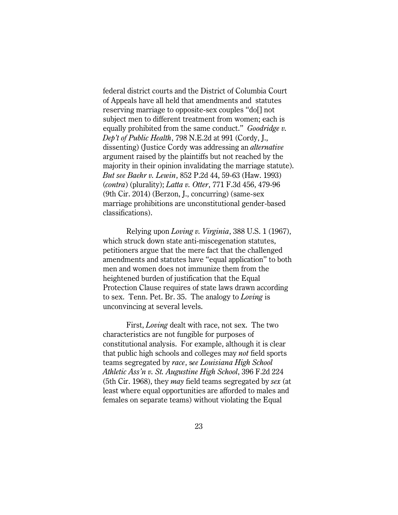federal district courts and the District of Columbia Court of Appeals have all held that amendments and statutes reserving marriage to opposite-sex couples "do[] not subject men to different treatment from women; each is equally prohibited from the same conduct." *Goodridge v. Dep't of Public Health*, 798 N.E.2d at 991 (Cordy, J., dissenting) (Justice Cordy was addressing an *alternative* argument raised by the plaintiffs but not reached by the majority in their opinion invalidating the marriage statute). *But see Baehr v. Lewin*, 852 P.2d 44, 59-63 (Haw. 1993) (*contra*) (plurality); *Latta v. Otter*, 771 F.3d 456, 479-96 (9th Cir. 2014) (Berzon, J., concurring) (same-sex marriage prohibitions are unconstitutional gender-based classifications).

Relying upon *Loving v. Virginia*, 388 U.S. 1 (1967), which struck down state anti-miscegenation statutes, petitioners argue that the mere fact that the challenged amendments and statutes have "equal application" to both men and women does not immunize them from the heightened burden of justification that the Equal Protection Clause requires of state laws drawn according to sex. Tenn. Pet. Br. 35. The analogy to *Loving* is unconvincing at several levels.

First, *Loving* dealt with race, not sex. The two characteristics are not fungible for purposes of constitutional analysis. For example, although it is clear that public high schools and colleges may *not* field sports teams segregated by *race*, s*ee Louisiana High School Athletic Ass'n v. St. Augustine High School*, 396 F.2d 224 (5th Cir. 1968), they *may* field teams segregated by *sex* (at least where equal opportunities are afforded to males and females on separate teams) without violating the Equal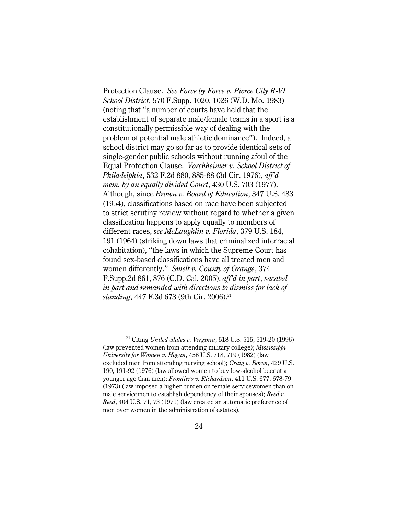Protection Clause. *See Force by Force v. Pierce City R-VI School District*, 570 F.Supp. 1020, 1026 (W.D. Mo. 1983) (noting that "a number of courts have held that the establishment of separate male/female teams in a sport is a constitutionally permissible way of dealing with the problem of potential male athletic dominance"). Indeed, a school district may go so far as to provide identical sets of single-gender public schools without running afoul of the Equal Protection Clause. *Vorchheimer v. School District of Philadelphia*, 532 F.2d 880, 885-88 (3d Cir. 1976), *aff'd mem. by an equally divided Court*, 430 U.S. 703 (1977). Although, since *Brown v. Board of Education*, 347 U.S. 483 (1954), classifications based on race have been subjected to strict scrutiny review without regard to whether a given classification happens to apply equally to members of different races, *see McLaughlin v. Florida*, 379 U.S. 184, 191 (1964) (striking down laws that criminalized interracial cohabitation), "the laws in which the Supreme Court has found sex-based classifications have all treated men and women differently." *Smelt v. County of Orange*, 374 F.Supp.2d 861, 876 (C.D. Cal. 2005), *aff'd in part*, *vacated in part and remanded with directions to dismiss for lack of standing*, 447 F.3d 673 (9th Cir. 2006).<sup>21</sup>

<sup>&</sup>lt;sup>21</sup> Citing *United States v. Virginia*, 518 U.S. 515, 519-20 (1996) (law prevented women from attending military college); *Mississippi University for Women v. Hogan*, 458 U.S. 718, 719 (1982) (law excluded men from attending nursing school); *Craig v. Boren*, 429 U.S. 190, 191-92 (1976) (law allowed women to buy low-alcohol beer at a younger age than men); *Frontiero v. Richardson*, 411 U.S. 677, 678-79 (1973) (law imposed a higher burden on female servicewomen than on male servicemen to establish dependency of their spouses); *Reed v. Reed*, 404 U.S. 71, 73 (1971) (law created an automatic preference of men over women in the administration of estates).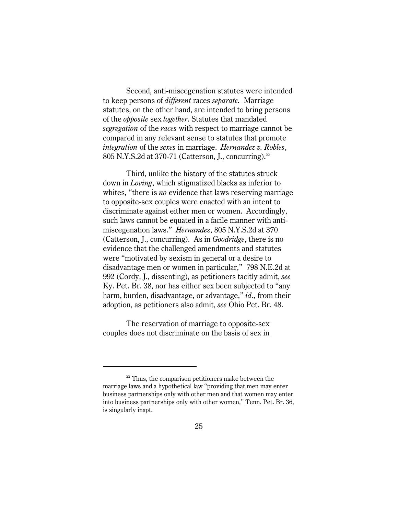Second, anti-miscegenation statutes were intended to keep persons of *different* races *separate.* Marriage statutes, on the other hand, are intended to bring persons of the *opposite* sex *together*. Statutes that mandated *segregation* of the *races* with respect to marriage cannot be compared in any relevant sense to statutes that promote *integration* of the *sexes* in marriage. *Hernandez v. Robles*, 805 N.Y.S.2d at 370-71 (Catterson, J., concurring).<sup>22</sup>

Third, unlike the history of the statutes struck down in *Loving*, which stigmatized blacks as inferior to whites, "there is *no* evidence that laws reserving marriage to opposite-sex couples were enacted with an intent to discriminate against either men or women. Accordingly, such laws cannot be equated in a facile manner with antimiscegenation laws." *Hernandez*, 805 N.Y.S.2d at 370 (Catterson, J., concurring). As in *Goodridge*, there is no evidence that the challenged amendments and statutes were "motivated by sexism in general or a desire to disadvantage men or women in particular," 798 N.E.2d at 992 (Cordy, J., dissenting), as petitioners tacitly admit, *see* Ky. Pet. Br. 38, nor has either sex been subjected to "any harm, burden, disadvantage, or advantage," *id*., from their adoption, as petitioners also admit, *see* Ohio Pet. Br. 48.

The reservation of marriage to opposite-sex couples does not discriminate on the basis of sex in

 $22$  Thus, the comparison petitioners make between the marriage laws and a hypothetical law "providing that men may enter business partnerships only with other men and that women may enter into business partnerships only with other women," Tenn. Pet. Br. 36, is singularly inapt.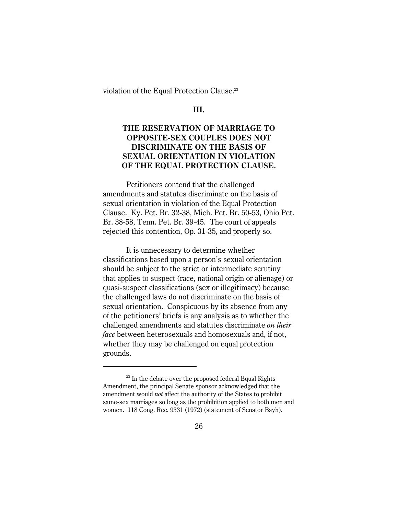violation of the Equal Protection Clause.<sup>23</sup>

**III.**

# **THE RESERVATION OF MARRIAGE TO OPPOSITE-SEX COUPLES DOES NOT DISCRIMINATE ON THE BASIS OF SEXUAL ORIENTATION IN VIOLATION OF THE EQUAL PROTECTION CLAUSE.**

Petitioners contend that the challenged amendments and statutes discriminate on the basis of sexual orientation in violation of the Equal Protection Clause. Ky. Pet. Br. 32-38, Mich. Pet. Br. 50-53, Ohio Pet. Br. 38-58, Tenn. Pet. Br. 39-45. The court of appeals rejected this contention, Op. 31-35, and properly so.

It is unnecessary to determine whether classifications based upon a person's sexual orientation should be subject to the strict or intermediate scrutiny that applies to suspect (race, national origin or alienage) or quasi-suspect classifications (sex or illegitimacy) because the challenged laws do not discriminate on the basis of sexual orientation. Conspicuous by its absence from any of the petitioners' briefs is any analysis as to whether the challenged amendments and statutes discriminate *on their face* between heterosexuals and homosexuals and, if not, whether they may be challenged on equal protection grounds.

 $^{23}$  In the debate over the proposed federal Equal Rights Amendment, the principal Senate sponsor acknowledged that the amendment would *not* affect the authority of the States to prohibit same-sex marriages so long as the prohibition applied to both men and women. 118 Cong. Rec. 9331 (1972) (statement of Senator Bayh).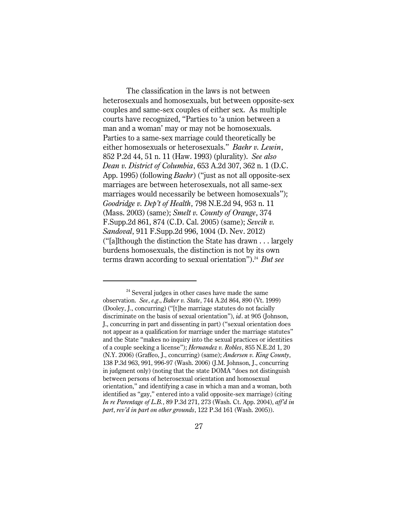The classification in the laws is not between heterosexuals and homosexuals, but between opposite-sex couples and same-sex couples of either sex. As multiple courts have recognized, "Parties to 'a union between a man and a woman' may or may not be homosexuals. Parties to a same-sex marriage could theoretically be either homosexuals or heterosexuals." *Baehr v. Lewin*, 852 P.2d 44, 51 n. 11 (Haw. 1993) (plurality). *See also Dean v. District of Columbia*, 653 A.2d 307, 362 n. 1 (D.C. App. 1995) (following *Baehr*) ("just as not all opposite-sex marriages are between heterosexuals, not all same-sex marriages would necessarily be between homosexuals"); *Goodridge v. Dep't of Health*, 798 N.E.2d 94, 953 n. 11 (Mass. 2003) (same); *Smelt v. County of Orange*, 374 F.Supp.2d 861, 874 (C.D. Cal. 2005) (same); *Sevcik v. Sandoval*, 911 F.Supp.2d 996, 1004 (D. Nev. 2012) ("[a]lthough the distinction the State has drawn . . . largely burdens homosexuals, the distinction is not by its own terms drawn according to sexual orientation").<sup>24</sup> But see

 $24$  Several judges in other cases have made the same observation. *See*, *e.g*., *Baker v. State*, 744 A.2d 864, 890 (Vt. 1999) (Dooley, J., concurring) ("[t]he marriage statutes do not facially discriminate on the basis of sexual orientation"), *id*. at 905 (Johnson, J., concurring in part and dissenting in part) ("sexual orientation does not appear as a qualification for marriage under the marriage statutes" and the State "makes no inquiry into the sexual practices or identities of a couple seeking a license"); *Hernandez v. Robles*, 855 N.E.2d 1, 20 (N.Y. 2006) (Graffeo, J., concurring) (same); *Andersen v. King County*, 138 P.3d 963, 991, 996-97 (Wash. 2006) (J.M. Johnson, J., concurring in judgment only) (noting that the state DOMA "does not distinguish between persons of heterosexual orientation and homosexual orientation," and identifying a case in which a man and a woman, both identified as "gay," entered into a valid opposite-sex marriage) (citing *In re Parentage of L.B.*, 89 P.3d 271, 273 (Wash. Ct. App. 2004), *aff'd in part*, *rev'd in part on other grounds*, 122 P.3d 161 (Wash. 2005)).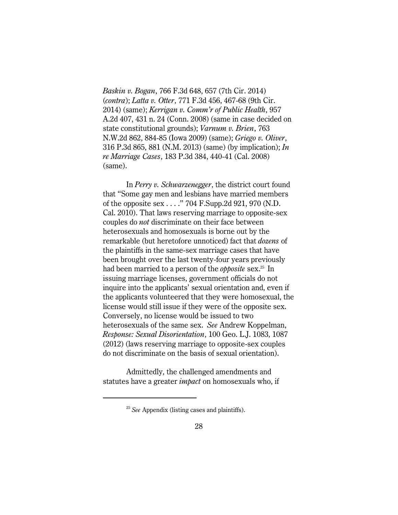*Baskin v. Bogan*, 766 F.3d 648, 657 (7th Cir. 2014) (*contra*); *Latta v. Otter*, 771 F.3d 456, 467-68 (9th Cir. 2014) (same); *Kerrigan v. Comm'r of Public Health*, 957 A.2d 407, 431 n. 24 (Conn. 2008) (same in case decided on state constitutional grounds); *Varnum v. Brien*, 763 N.W.2d 862, 884-85 (Iowa 2009) (same); *Griego v. Oliver*, 316 P.3d 865, 881 (N.M. 2013) (same) (by implication); *In re Marriage Cases*, 183 P.3d 384, 440-41 (Cal. 2008) (same).

In *Perry v. Schwarzenegger*, the district court found that "Some gay men and lesbians have married members of the opposite sex . . . ." 704 F.Supp.2d 921, 970 (N.D. Cal. 2010). That laws reserving marriage to opposite-sex couples do *not* discriminate on their face between heterosexuals and homosexuals is borne out by the remarkable (but heretofore unnoticed) fact that *dozens* of the plaintiffs in the same-sex marriage cases that have been brought over the last twenty-four years previously had been married to a person of the *obbosite* sex.<sup>25</sup> In issuing marriage licenses, government officials do not inquire into the applicants' sexual orientation and, even if the applicants volunteered that they were homosexual, the license would still issue if they were of the opposite sex. Conversely, no license would be issued to two heterosexuals of the same sex. *See* Andrew Koppelman, *Response: Sexual Disorientation*, 100 Geo. L.J. 1083, 1087 (2012) (laws reserving marriage to opposite-sex couples do not discriminate on the basis of sexual orientation).

Admittedly, the challenged amendments and statutes have a greater *impact* on homosexuals who, if

<sup>&</sup>lt;sup>25</sup> See Appendix (listing cases and plaintiffs).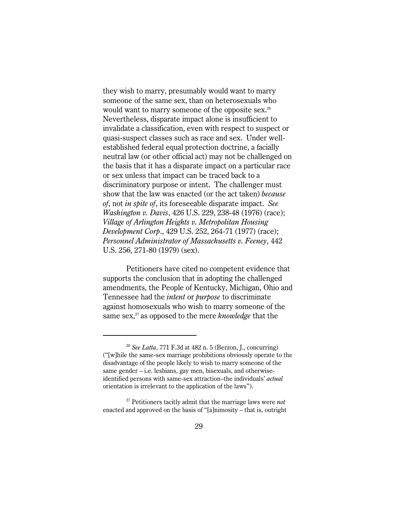they wish to marry, presumably would want to marry someone of the same sex, than on heterosexuals who would want to marry someone of the opposite sex.<sup>26</sup> Nevertheless, disparate impact alone is insufficient to invalidate a classification, even with respect to suspect or quasi-suspect classes such as race and sex. Under wellestablished federal equal protection doctrine, a facially neutral law (or other official act) may not be challenged on the basis that it has a disparate impact on a particular race or sex unless that impact can be traced back to a discriminatory purpose or intent. The challenger must show that the law was enacted (or the act taken) *because of*, not *in spite of*, its foreseeable disparate impact. *See Washington v. Davis*, 426 U.S. 229, 238-48 (1976) (race); *Village of Arlington Heights v. Metropolitan Housing Development Corp*., 429 U.S. 252, 264-71 (1977) (race); *Personnel Administrator of Massachusetts v. Feeney*, 442 U.S. 256, 271-80 (1979) (sex).

Petitioners have cited no competent evidence that supports the conclusion that in adopting the challenged amendments, the People of Kentucky, Michigan, Ohio and Tennessee had the *intent* or *purpose* to discriminate against homosexuals who wish to marry someone of the same sex,<sup>27</sup> as opposed to the mere *knowledge* that the

<sup>&</sup>lt;sup>26</sup> See Latta, 771 F.3d at 482 n. 5 (Berzon, J., concurring) ("[w]hile the same-sex marriage prohibitions obviously operate to the disadvantage of the people likely to wish to marry someone of the same gender – i.e. lesbians, gay men, bisexuals, and otherwiseidentified persons with same-sex attraction–the individuals' *actual* orientation is irrelevant to the application of the laws").

<sup>&</sup>lt;sup>27</sup> Petitioners tacitly admit that the marriage laws were *not* enacted and approved on the basis of "[a]nimosity – that is, outright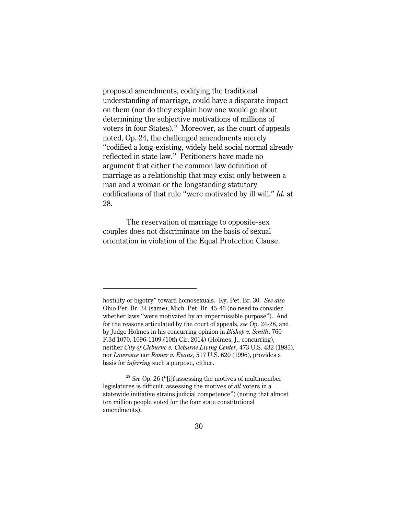proposed amendments, codifying the traditional understanding of marriage, could have a disparate impact on them (nor do they explain how one would go about determining the subjective motivations of millions of voters in four States).<sup>28</sup> Moreover, as the court of appeals noted, Op. 24, the challenged amendments merely "codified a long-existing, widely held social normal already reflected in state law." Petitioners have made no argument that either the common law definition of marriage as a relationship that may exist only between a man and a woman or the longstanding statutory codifications of that rule "were motivated by ill will." *Id.* at 28.

The reservation of marriage to opposite-sex couples does not discriminate on the basis of sexual orientation in violation of the Equal Protection Clause.

hostility or bigotry" toward homosexuals. Ky. Pet. Br. 30. *See also* Ohio Pet. Br. 24 (same), Mich. Pet. Br. 45-46 (no need to consider whether laws "were motivated by an impermissible purpose"). And for the reasons articulated by the court of appeals, *see* Op. 24-28, and by Judge Holmes in his concurring opinion in *Bishop v. Smith*, 760 F.3d 1070, 1096-1109 (10th Cir. 2014) (Holmes, J., concurring), neither *City of Cleburne v. Cleburne Living Center*, 473 U.S. 432 (1985), nor *Lawrence* nor *Romer v. Evans*, 517 U.S. 620 (1996), provides a basis for *inferring* such a purpose, either.

 $28$  See Op. 26 ("[i]f assessing the motives of multimember legislatures is difficult, assessing the motives of *all* voters in a statewide initiative strains judicial competence") (noting that almost ten million people voted for the four state constitutional amendments).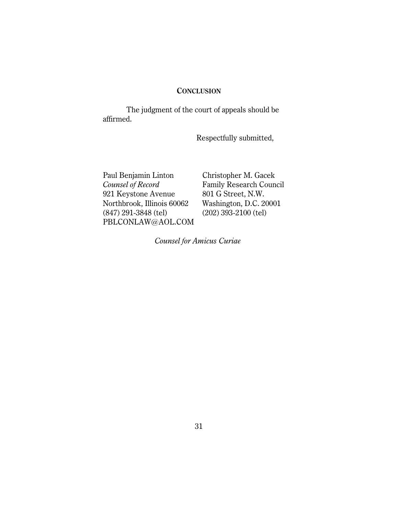## **CONCLUSION**

The judgment of the court of appeals should be affirmed.

Respectfully submitted,

Paul Benjamin Linton Christopher M. Gacek *Counsel of Record* Family Research Council<br>921 Keystone Avenue 801 G Street, N.W. 921 Keystone Avenue 801 G Street, N.W.<br>Northbrook, Illinois 60062 Washington, D.C. 20001 Northbrook, Illinois 60062<br>(847) 291-3848 (tel) PBLCONLAW@AOL.COM

(847) 291-3848 (tel) (202) 393-2100 (tel)

*Counsel for Amicus Curiae*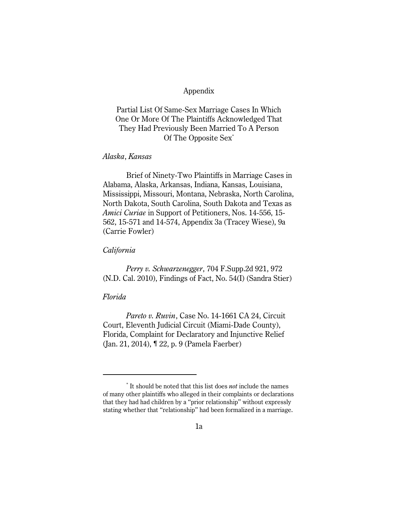#### Appendix

Partial List Of Same-Sex Marriage Cases In Which One Or More Of The Plaintiffs Acknowledged That They Had Previously Been Married To A Person Of The Opposite Sex\*

#### *Alaska*, *Kansas*

Brief of Ninety-Two Plaintiffs in Marriage Cases in Alabama, Alaska, Arkansas, Indiana, Kansas, Louisiana, Mississippi, Missouri, Montana, Nebraska, North Carolina, North Dakota, South Carolina, South Dakota and Texas as *Amici Curiae* in Support of Petitioners, Nos. 14-556, 15- 562, 15-571 and 14-574, Appendix 3a (Tracey Wiese), 9a (Carrie Fowler)

#### *California*

*Perry v. Schwarzenegger*, 704 F.Supp.2d 921, 972 (N.D. Cal. 2010), Findings of Fact, No. 54(I) (Sandra Stier)

## *Florida*

*Pareto v. Ruvin*, Case No. 14-1661 CA 24, Circuit Court, Eleventh Judicial Circuit (Miami-Dade County), Florida, Complaint for Declaratory and Injunctive Relief (Jan. 21, 2014), ¶ 22, p. 9 (Pamela Faerber)

<sup>&</sup>lt;sup>\*</sup> It should be noted that this list does *not* include the names of many other plaintiffs who alleged in their complaints or declarations that they had had children by a "prior relationship" without expressly stating whether that "relationship" had been formalized in a marriage.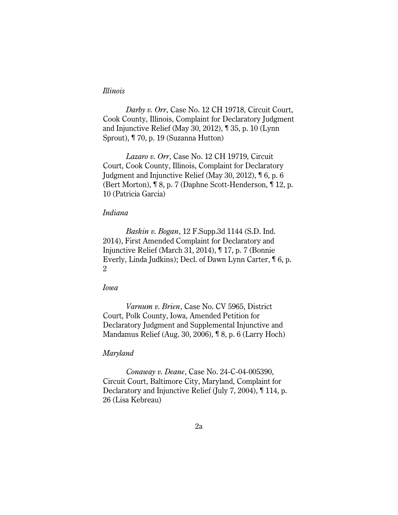### *Illinois*

*Darby v. Orr*, Case No. 12 CH 19718, Circuit Court, Cook County, Illinois, Complaint for Declaratory Judgment and Injunctive Relief (May 30, 2012), ¶ 35, p. 10 (Lynn Sprout), ¶ 70, p. 19 (Suzanna Hutton)

*Lazaro v. Orr*, Case No. 12 CH 19719, Circuit Court, Cook County, Illinois, Complaint for Declaratory Judgment and Injunctive Relief (May 30, 2012), ¶ 6, p. 6 (Bert Morton), ¶ 8, p. 7 (Daphne Scott-Henderson, ¶ 12, p. 10 (Patricia Garcia)

## *Indiana*

*Baskin v. Bogan*, 12 F.Supp.3d 1144 (S.D. Ind. 2014), First Amended Complaint for Declaratory and Injunctive Relief (March 31, 2014), ¶ 17, p. 7 (Bonnie Everly, Linda Judkins); Decl. of Dawn Lynn Carter, ¶ 6, p. 2

## *Iowa*

*Varnum v. Brien*, Case No. CV 5965, District Court, Polk County, Iowa, Amended Petition for Declaratory Judgment and Supplemental Injunctive and Mandamus Relief (Aug. 30, 2006), ¶ 8, p. 6 (Larry Hoch)

#### *Maryland*

*Conaway v. Deane*, Case No. 24-C-04-005390, Circuit Court, Baltimore City, Maryland, Complaint for Declaratory and Injunctive Relief (July 7, 2004), ¶ 114, p. 26 (Lisa Kebreau)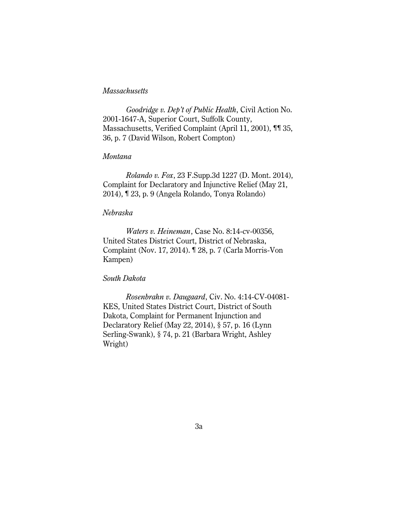## *Massachusetts*

*Goodridge v. Dep't of Public Health*, Civil Action No. 2001-1647-A, Superior Court, Suffolk County, Massachusetts, Verified Complaint (April 11, 2001), ¶¶ 35, 36, p. 7 (David Wilson, Robert Compton)

#### *Montana*

*Rolando v. Fox*, 23 F.Supp.3d 1227 (D. Mont. 2014), Complaint for Declaratory and Injunctive Relief (May 21, 2014), ¶ 23, p. 9 (Angela Rolando, Tonya Rolando)

## *Nebraska*

*Waters v. Heineman*, Case No. 8:14-cv-00356, United States District Court, District of Nebraska, Complaint (Nov. 17, 2014). ¶ 28, p. 7 (Carla Morris-Von Kampen)

#### *South Dakota*

*Rosenbrahn v. Daugaard*, Civ. No. 4:14-CV-04081- KES, United States District Court, District of South Dakota, Complaint for Permanent Injunction and Declaratory Relief (May 22, 2014), § 57, p. 16 (Lynn Serling-Swank), § 74, p. 21 (Barbara Wright, Ashley Wright)